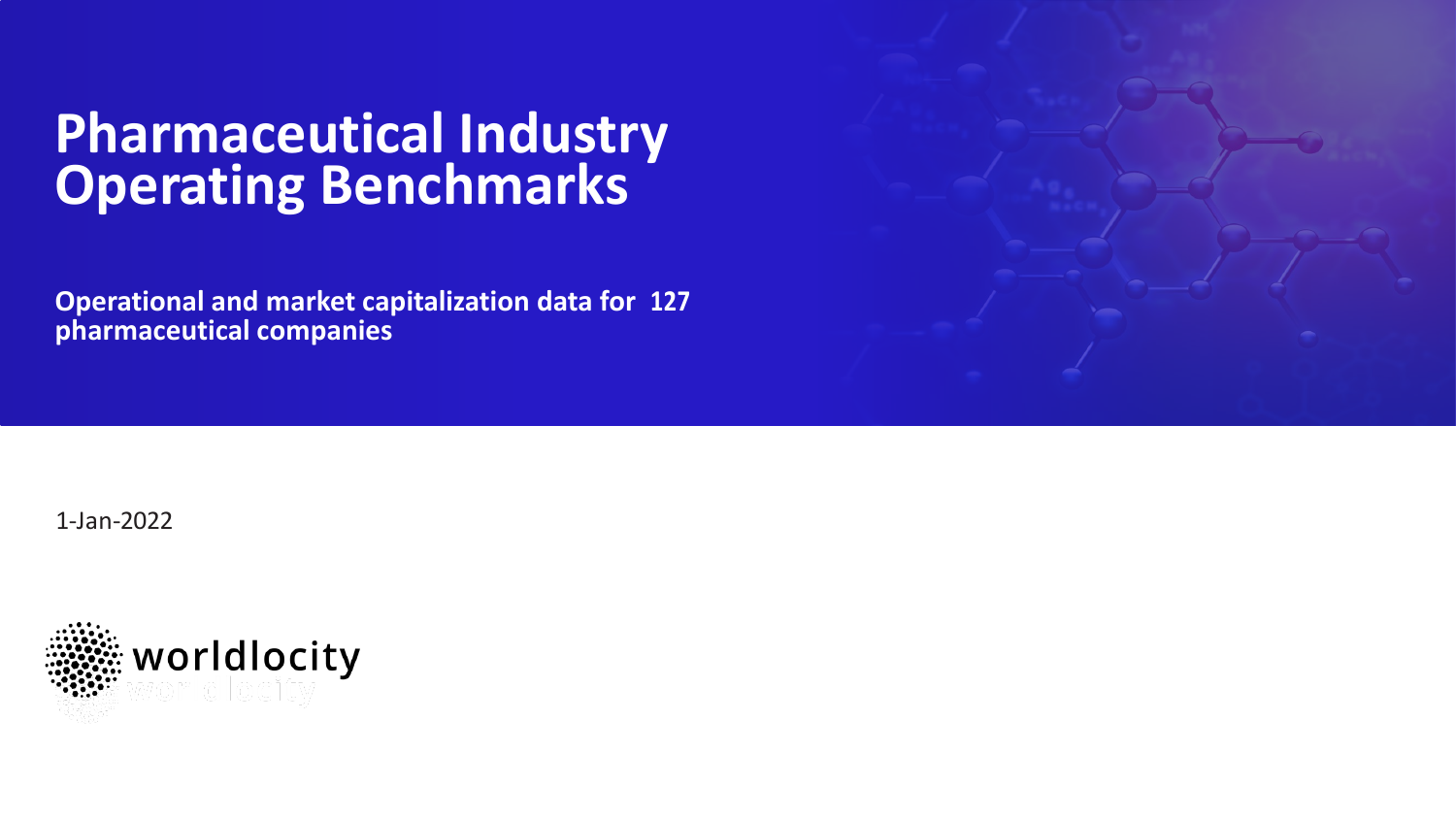## **Pharmaceutical Industry Operating Benchmarks**

**Operational and market capitalization data for 127 pharmaceutical companies**



1-Jan-2022

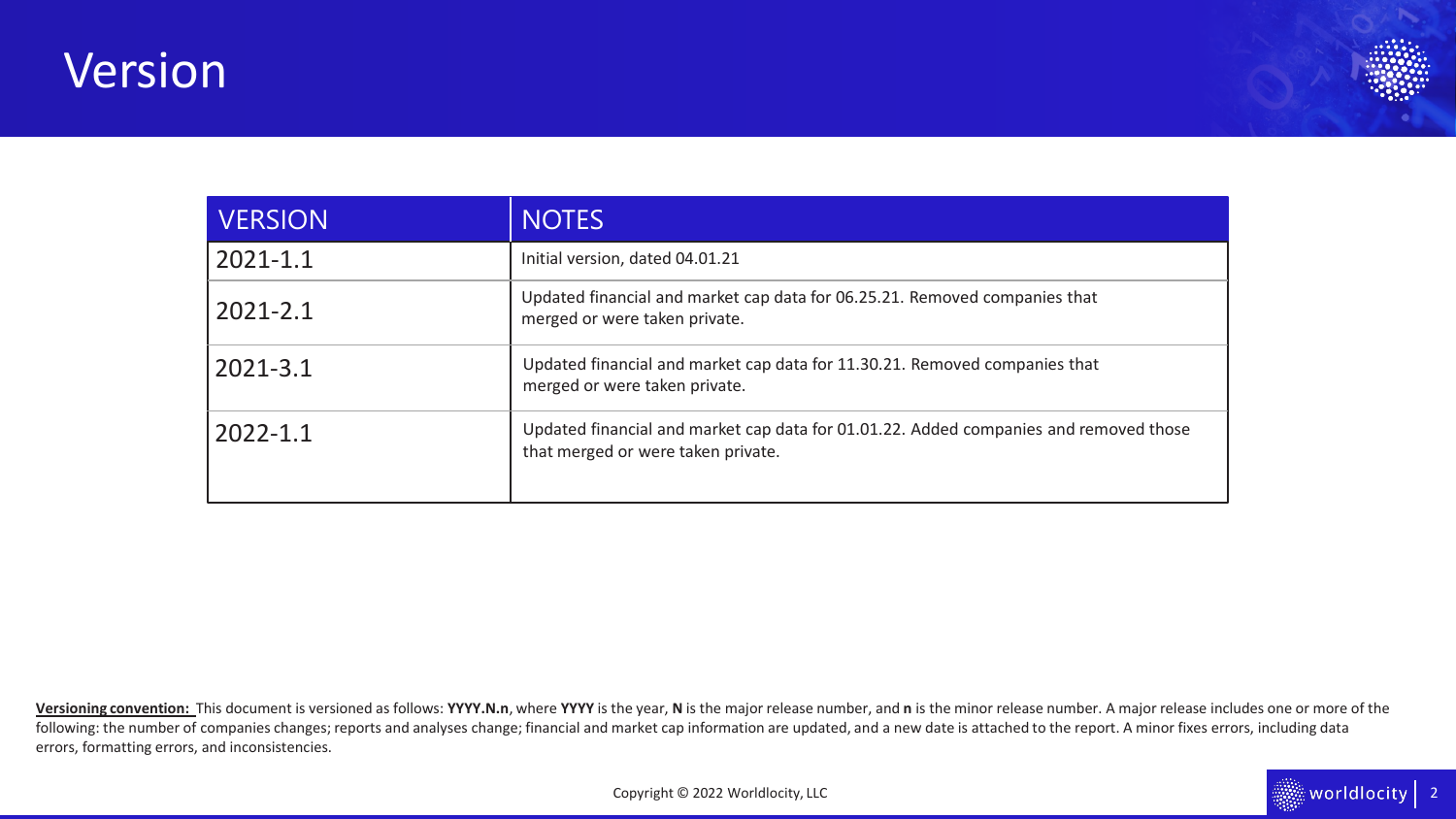## Version



 $\frac{1}{2}$  worldlocity 2

| <b>VERSION</b> | <b>NOTES</b>                                                                                                                |
|----------------|-----------------------------------------------------------------------------------------------------------------------------|
| $2021 - 1.1$   | Initial version, dated 04.01.21                                                                                             |
| $2021 - 2.1$   | Updated financial and market cap data for 06.25.21. Removed companies that<br>merged or were taken private.                 |
| 2021-3.1       | Updated financial and market cap data for 11.30.21. Removed companies that<br>merged or were taken private.                 |
| $2022 - 1.1$   | Updated financial and market cap data for 01.01.22. Added companies and removed those<br>that merged or were taken private. |

Versioning convention: This document is versioned as follows: YYYY.N.n, where YYYY is the year, N is the major release number, and n is the minor release number. A major release includes one or more of the following: the number of companies changes; reports and analyses change; financial and market cap information are updated, and a new date is attached to the report. A minor fixes errors, including data errors, formatting errors, and inconsistencies.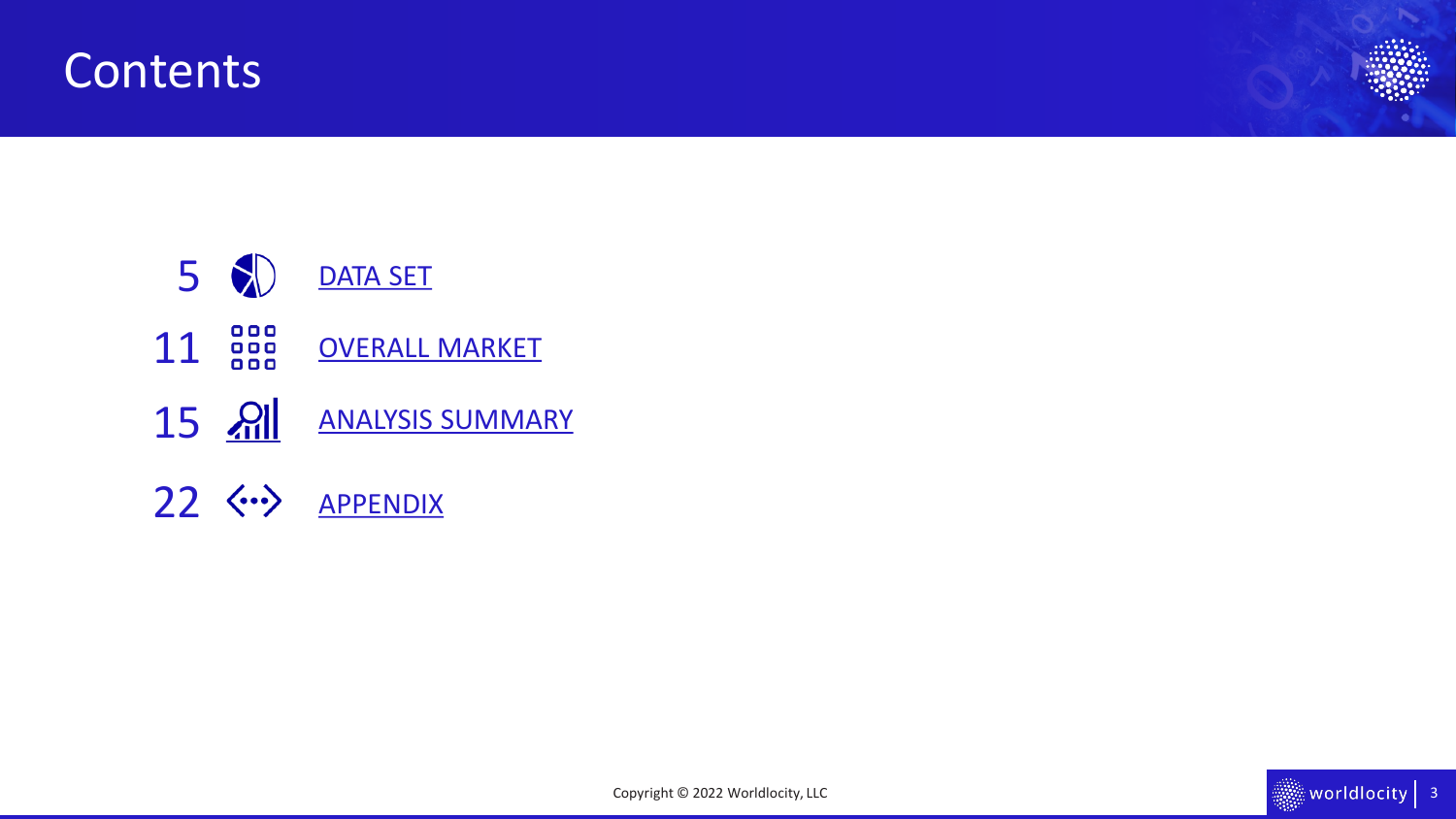### **Contents**





Copyright © 2022 Worldlocity, LLC

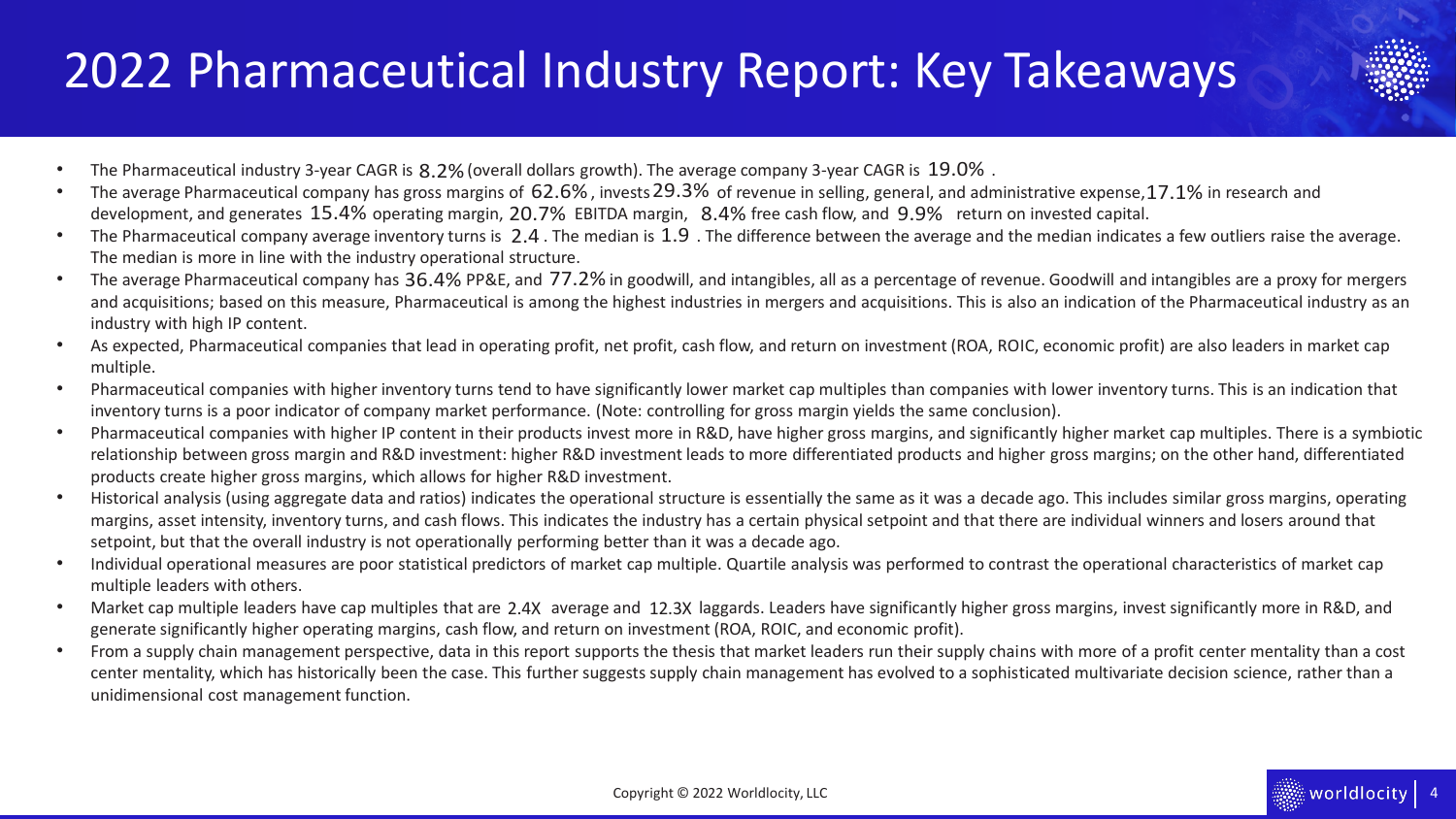## 2022 Pharmaceutical Industry Report: Key Takeaways



- The Pharmaceutical industry 3-year CAGR is  $8.2\%$  (overall dollars growth). The average company 3-year CAGR is  $19.0\%$ .
- The average Pharmaceutical company has gross margins of  $62.6\%$ , invests 29.3% of revenue in selling, general, and administrative expense, 17.1% in research and development, and generates 15.4% operating margin, 20.7% EBITDA margin,  $8.4\%$  free cash flow, and  $9.9\%$  return on invested capital.
- The Pharmaceutical company average inventory turns is 2.4. The median is 1.9. The difference between the average and the median indicates a few outliers raise the average. The median is more in line with the industry operational structure.
- The average Pharmaceutical company has 36.4% PP&E, and 77.2% in goodwill, and intangibles, all as a percentage of revenue. Goodwill and intangibles are a proxy for mergers and acquisitions; based on this measure, Pharmaceutical is among the highest industries in mergers and acquisitions. This is also an indication of the Pharmaceutical industry as an industry with high IP content.
- As expected, Pharmaceutical companies that lead in operating profit, net profit, cash flow, and return on investment (ROA, ROIC, economic profit) are also leaders in market cap multiple.
- Pharmaceutical companies with higher inventory turns tend to have significantly lower market cap multiples than companies with lower inventory turns. This is an indication that inventory turns is a poor indicator of company market performance. (Note: controlling for gross margin yields the same conclusion).
- Pharmaceutical companies with higher IP content in their products invest more in R&D, have higher gross margins, and significantly higher market cap multiples. There is a symbiotic relationship between gross margin and R&D investment: higher R&D investment leads to more differentiated products and higher gross margins; on the other hand, differentiated products create higher gross margins, which allows for higher R&D investment.
- Historical analysis (using aggregate data and ratios) indicates the operational structure is essentially the same as it was a decade ago. This includes similar gross margins, operating margins, asset intensity, inventory turns, and cash flows. This indicates the industry has a certain physical setpoint and that there are individual winners and losers around that setpoint, but that the overall industry is not operationally performing better than it was a decade ago.
- Individual operational measures are poor statistical predictors of market cap multiple. Quartile analysis was performed to contrast the operational characteristics of market cap multiple leaders with others.
- Market cap multiple leaders have cap multiples that are 2.4X average and 12.3X laggards. Leaders have significantly higher gross margins, invest significantly more in R&D, and generate significantly higher operating margins, cash flow, and return on investment (ROA, ROIC, and economic profit).
- From a supply chain management perspective, data in this report supports the thesis that market leaders run their supply chains with more of a profit center mentality than a cost center mentality, which has historically been the case. This further suggests supply chain management has evolved to a sophisticated multivariate decision science, rather than a unidimensional cost management function.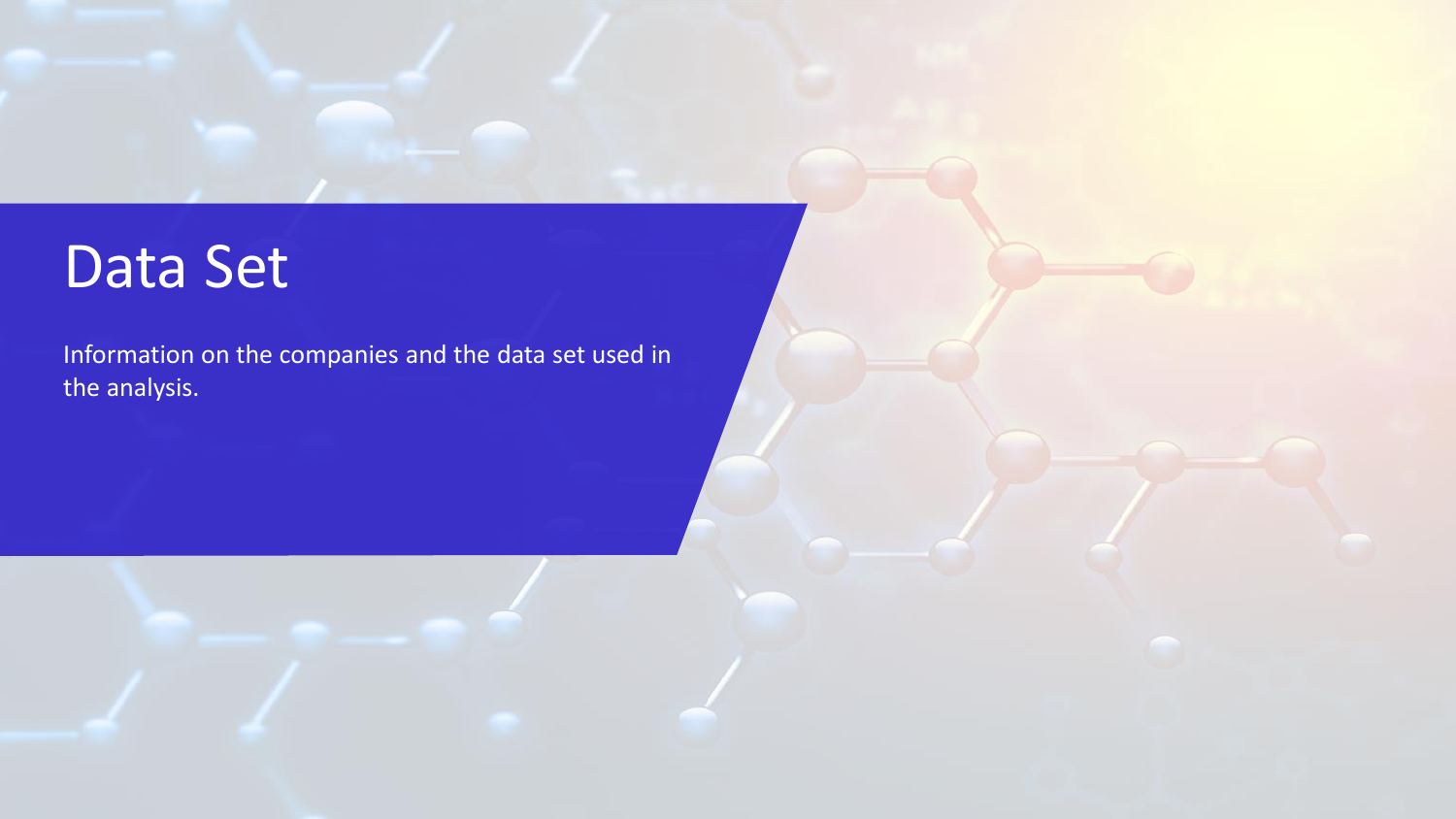# <span id="page-4-0"></span>Data Set

Information on the companies and the data set used in the analysis.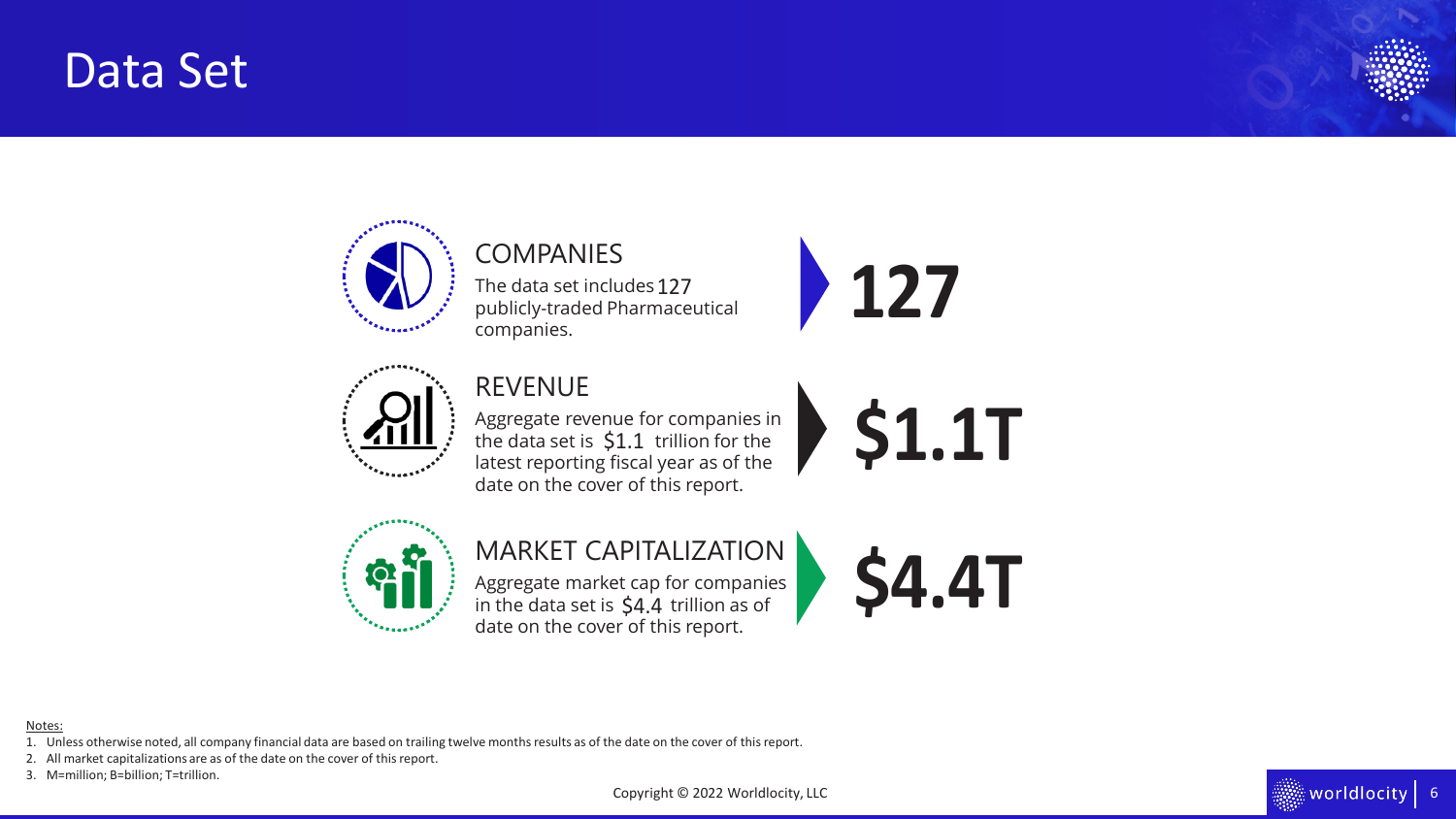## Data Set





### COMPANIES The data set includes 127

publicly-traded Pharmaceutical companies.





### REVENUE

Aggregate revenue for companies in the data set is  $$1.1$  trillion for the latest reporting fiscal year as of the date on the cover of this report. The data set includes 127<br>
sublicly-traded Pharmaceutical<br>
Sompanies.<br> **127**<br>
REVENUE<br>
Regregate revenue for companies in<br>
the data set is \$1.1 trillion for the<br>
date on the cover of this report.<br> **127**<br>
MARKET CAPITALIZAT



### MARKET CAPITALIZATION

Aggregate market cap for companies in the data set is  $$4.4$  trillion as of date on the cover of this report.



#### Notes:

- 1. Unless otherwise noted, all company financial data are based on trailing twelve months results as of the date on the cover of this report.
- 2. All market capitalizations are as of the date on the cover of this report.
- 

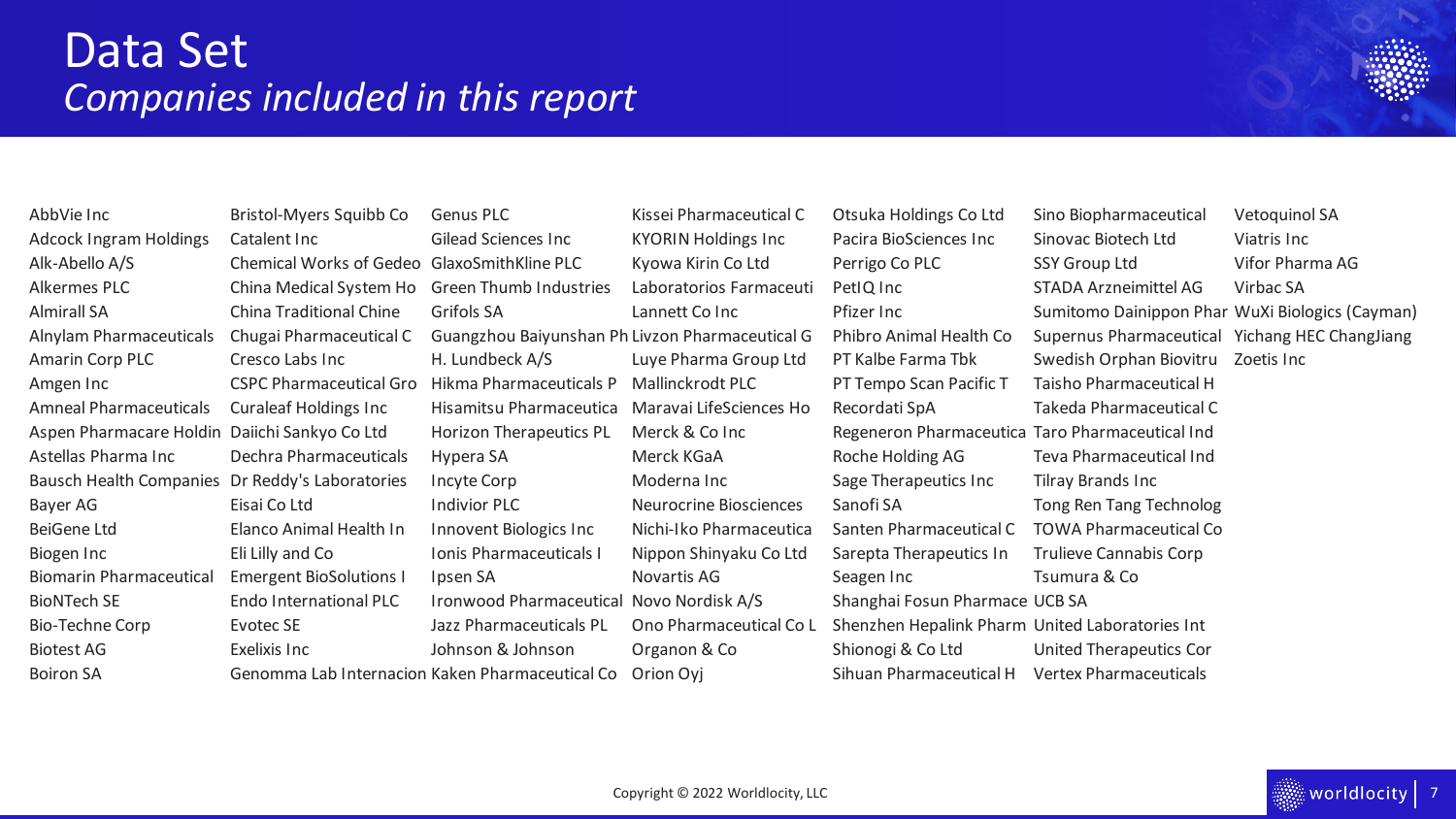

Boiron SA Genomma Lab Internacion Kaken Pharmaceutical Co Orion Ovi Sihuan Pharmaceutical H Vertex Pharmaceuticals

AbbVie Inc Santistol-Myers Squibb Co Genus PLC Kissei Pharmaceutical C Otsuka Holdings Co Ltd Sino Biopharmaceutical Vetoquinol SA Bausch Health Companies Dr Reddy's Laboratories Incyte Corp Moderna Inc Sage Therapeutics Inc Tilray Brands Inc Biogen Inc Fill Lilly and Co Ionis Pharmaceuticals I Nippon Shinyaku Co Ltd Sarepta Therapeutics In Trulieve Cannabis Corp Biomarin Pharmaceutical Emergent BioSolutions I Ipsen SA Novartis AG Seagen Inc Tsumura & Co BioNTech SE Endo International PLC Ironwood Pharmaceutical Novo Nordisk A/S Shanghai Fosun Pharmace UCB SA Bio-Techne Corp Evotec SE Jazz Pharmaceuticals PL Ono Pharmaceutical Co L Shenzhen Hepalink Pharm United Laboratories Int

Adcock Ingram Holdings Catalent Inc Gilead Sciences Inc KYORIN Holdings Inc Pacira BioSciences Inc Sinovac Biotech Ltd Viatris Inc Alk-Abello A/S Chemical Works of Gedeo GlaxoSmithKline PLC Kyowa Kirin Co Ltd Perrigo Co PLC SSY Group Ltd Vifor Pharma AG Alkermes PLC China Medical System Ho Green Thumb Industries Laboratorios Farmaceuti PetIQ Inc STADA Arzneimittel AG Virbac SA Almirall SA China Traditional Chine Grifols SA Lannett Co Inc Pfizer Inc Sumitomo Dainippon Phar WuXi Biologics (Cayman) Alnylam Pharmaceuticals Chugai Pharmaceutical C Guangzhou Baiyunshan Ph Livzon Pharmaceutical G Phibro Animal Health Co Supernus Pharmaceutical Yichang HEC ChangJiang Amarin Corp PLC Cresco Labs Inc H. Lundbeck A/S Luye Pharma Group Ltd PT Kalbe Farma Tbk Swedish Orphan Biovitru Zoetis Inc Amgen Inc CSPC Pharmaceutical Gro Hikma Pharmaceuticals P Mallinckrodt PLC PT Tempo Scan Pacific T Taisho Pharmaceutical H Amneal Pharmaceuticals Curaleaf Holdings Inc Hisamitsu Pharmaceutica Maravai LifeSciences Ho Recordati SpA Takeda Pharmaceutical C Aspen Pharmacare Holdin Daiichi Sankyo Co Ltd Horizon Therapeutics PL Merck & Co Inc Regeneron Pharmaceutica Taro Pharmaceutical Ind Astellas Pharma Inc Dechra Pharmaceuticals Hypera SA Merck KGaA Roche Holding AG Teva Pharmaceutical Ind Bayer AG Eisai Co Ltd Indivior PLC Neurocrine Biosciences Sanofi SA Tong Ren Tang Technolog BeiGene Ltd Elanco Animal Health In Innovent Biologics Inc Nichi-Iko Pharmaceutica Santen Pharmaceutical C TOWA Pharmaceutical Co Biotest AG **Exelixis Inc Exelixis Inc** Johnson & Johnson **Organon & Co** Shionogi & Co Ltd United Therapeutics Cor

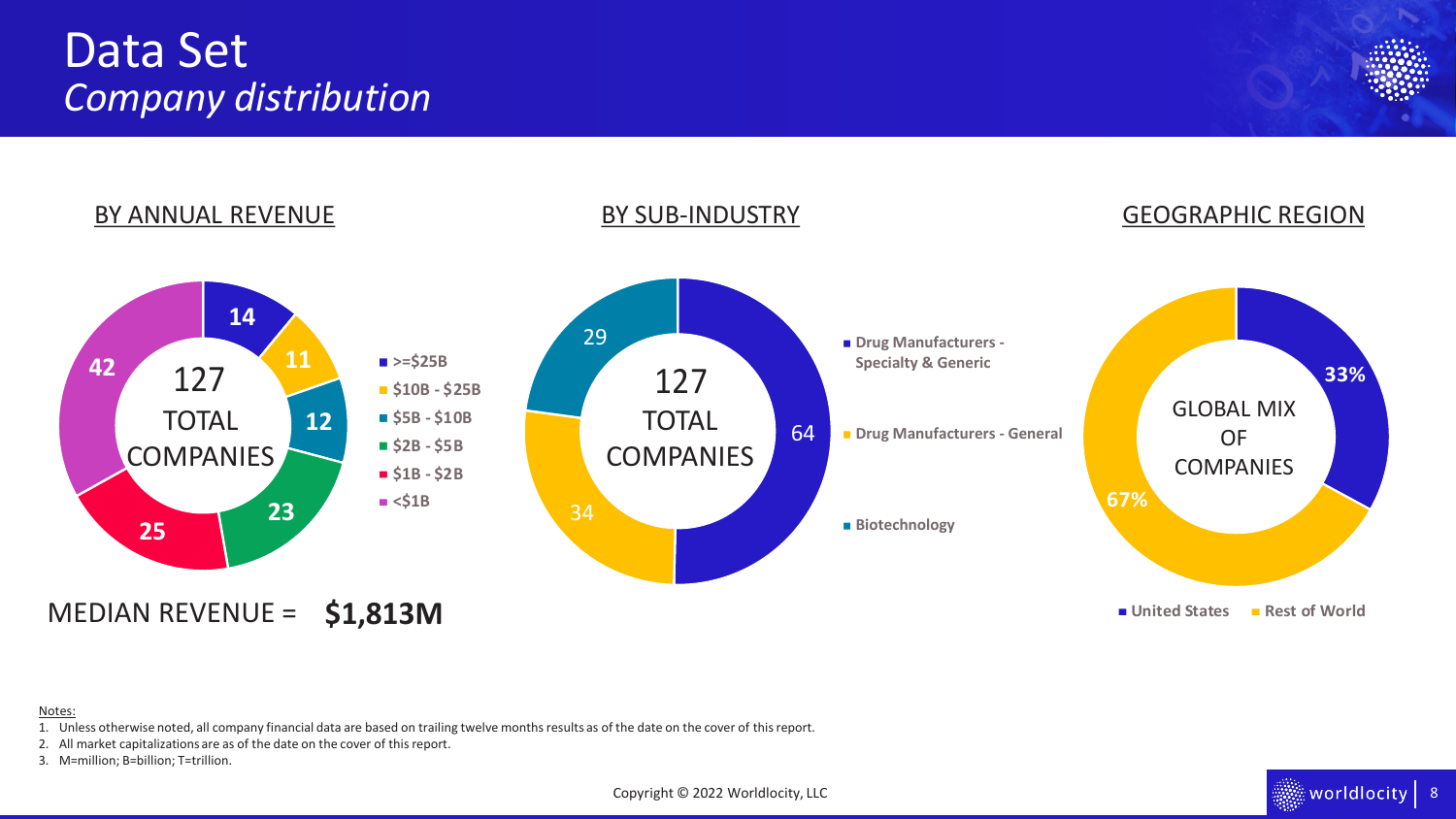### Data Set *Company distribution*





#### Notes:

1. Unless otherwise noted, all company financial data are based on trailing twelve months results as of the date on the cover of this report.

2. All market capitalizations are as of the date on the cover of this report.

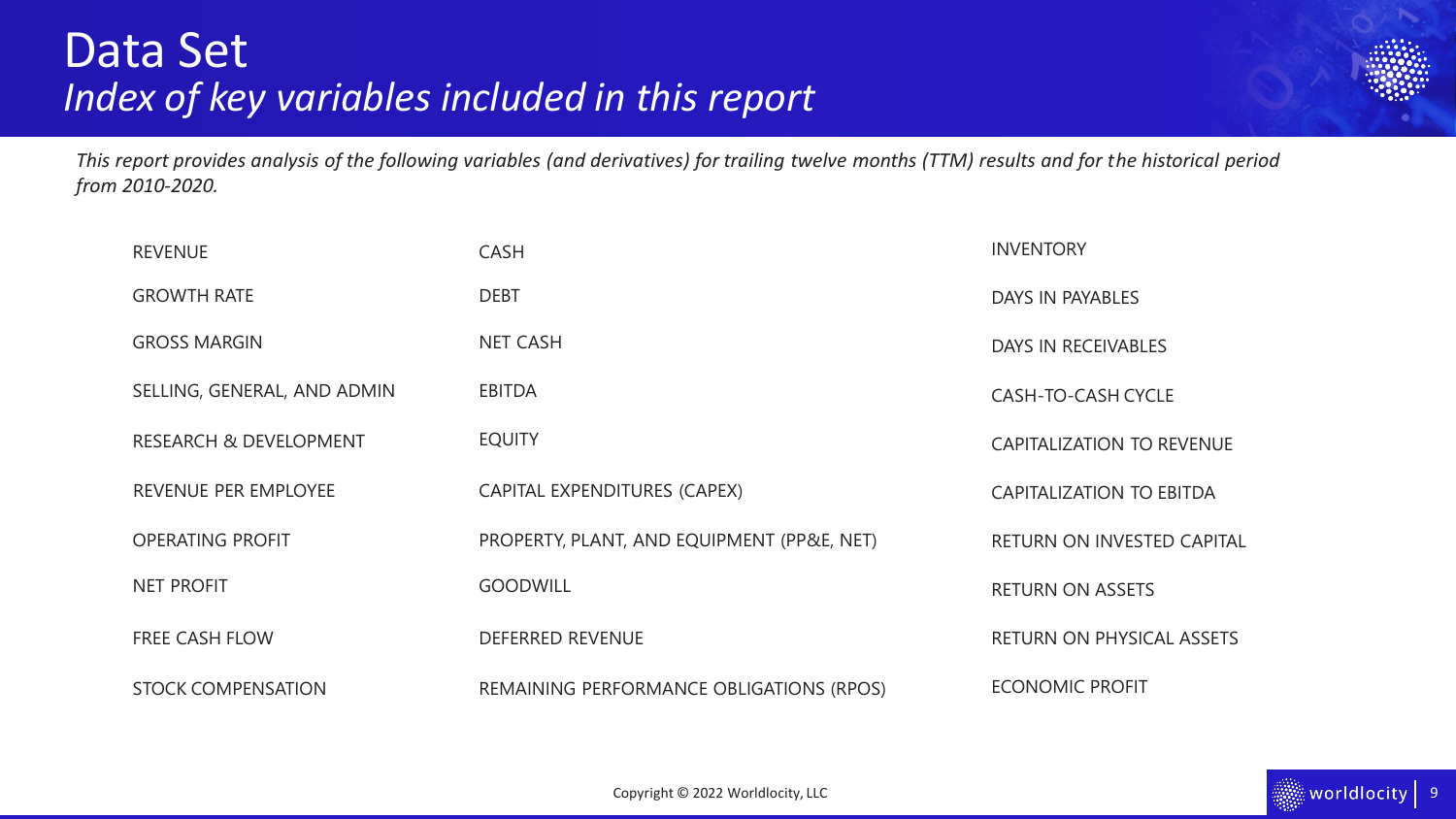

*This report provides analysis of the following variables (and derivatives) for trailing twelve months (TTM) results and for the historical period from 2010-2020.* 

| <b>REVENUE</b>                    | <b>CASH</b>                                | <b>INVENTORY</b>                  |
|-----------------------------------|--------------------------------------------|-----------------------------------|
| <b>GROWTH RATE</b>                | <b>DEBT</b>                                | DAYS IN PAYABLES                  |
| <b>GROSS MARGIN</b>               | <b>NET CASH</b>                            | DAYS IN RECEIVABLES               |
| SELLING, GENERAL, AND ADMIN       | <b>EBITDA</b>                              | <b>CASH-TO-CASH CYCLE</b>         |
| <b>RESEARCH &amp; DEVELOPMENT</b> | <b>EQUITY</b>                              | <b>CAPITALIZATION TO REVENUE</b>  |
| REVENUE PER EMPLOYEE              | CAPITAL EXPENDITURES (CAPEX)               | <b>CAPITALIZATION TO EBITDA</b>   |
| <b>OPERATING PROFIT</b>           | PROPERTY, PLANT, AND EQUIPMENT (PP&E, NET) | <b>RETURN ON INVESTED CAPITAL</b> |
| <b>NET PROFIT</b>                 | <b>GOODWILL</b>                            | <b>RETURN ON ASSETS</b>           |
| <b>FREE CASH FLOW</b>             | <b>DEFERRED REVENUE</b>                    | <b>RETURN ON PHYSICAL ASSETS</b>  |
| <b>STOCK COMPENSATION</b>         | REMAINING PERFORMANCE OBLIGATIONS (RPOS)   | <b>ECONOMIC PROFIT</b>            |

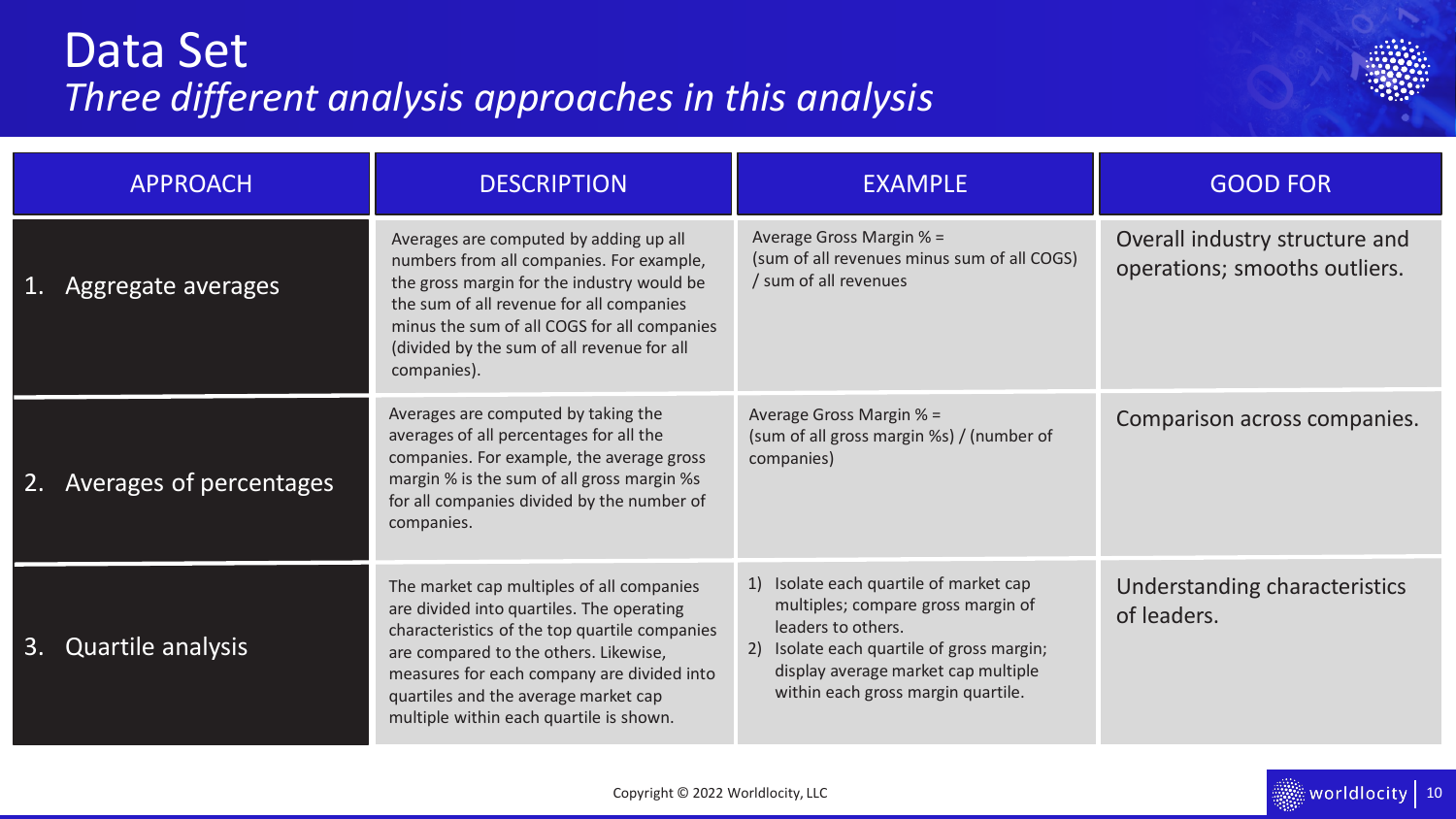## <span id="page-9-0"></span>Data Set *Three different analysis approaches in this analysis*



| <b>APPROACH</b>                | <b>DESCRIPTION</b>                                                                                                                                                                                                                                                                                                | <b>EXAMPLE</b>                                                                                                                                                                                                               | <b>GOOD FOR</b>                                                 |  |  |
|--------------------------------|-------------------------------------------------------------------------------------------------------------------------------------------------------------------------------------------------------------------------------------------------------------------------------------------------------------------|------------------------------------------------------------------------------------------------------------------------------------------------------------------------------------------------------------------------------|-----------------------------------------------------------------|--|--|
| Aggregate averages             | Averages are computed by adding up all<br>numbers from all companies. For example,<br>the gross margin for the industry would be<br>the sum of all revenue for all companies<br>minus the sum of all COGS for all companies<br>(divided by the sum of all revenue for all<br>companies).                          | Average Gross Margin % =<br>(sum of all revenues minus sum of all COGS)<br>/ sum of all revenues                                                                                                                             | Overall industry structure and<br>operations; smooths outliers. |  |  |
| Averages of percentages<br>2.  | Averages are computed by taking the<br>averages of all percentages for all the<br>companies. For example, the average gross<br>margin % is the sum of all gross margin %s<br>for all companies divided by the number of<br>companies.                                                                             | Average Gross Margin % =<br>(sum of all gross margin %s) / (number of<br>companies)                                                                                                                                          | Comparison across companies.                                    |  |  |
| <b>Quartile analysis</b><br>3. | The market cap multiples of all companies<br>are divided into quartiles. The operating<br>characteristics of the top quartile companies<br>are compared to the others. Likewise,<br>measures for each company are divided into<br>quartiles and the average market cap<br>multiple within each quartile is shown. | 1) Isolate each quartile of market cap<br>multiples; compare gross margin of<br>leaders to others.<br>2) Isolate each quartile of gross margin;<br>display average market cap multiple<br>within each gross margin quartile. | Understanding characteristics<br>of leaders.                    |  |  |

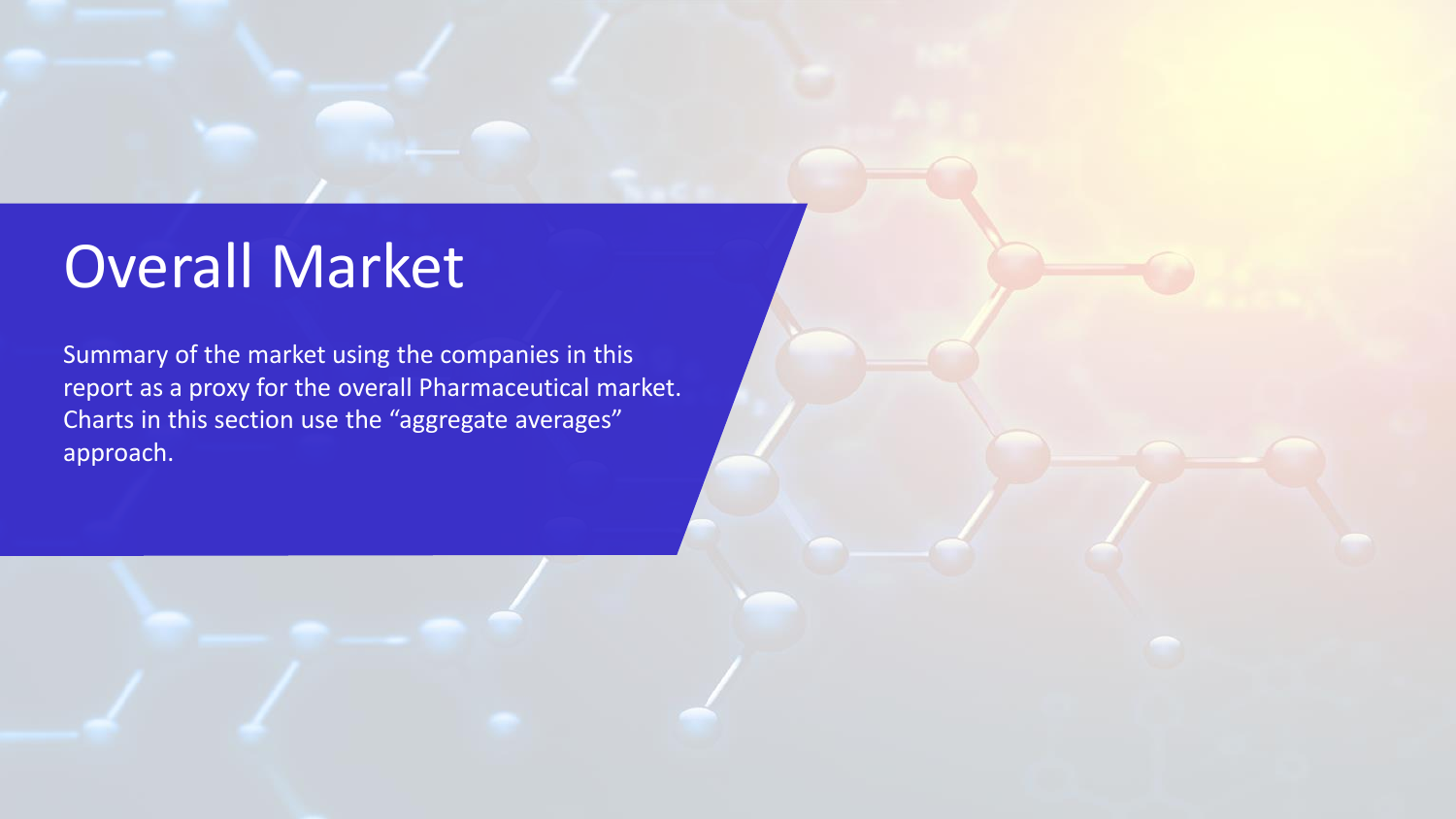# <span id="page-10-0"></span>Overall Market

Summary of the market using the companies in this report as a proxy for the overall Pharmaceutical market. Charts in this section use the "aggregate averages" approach.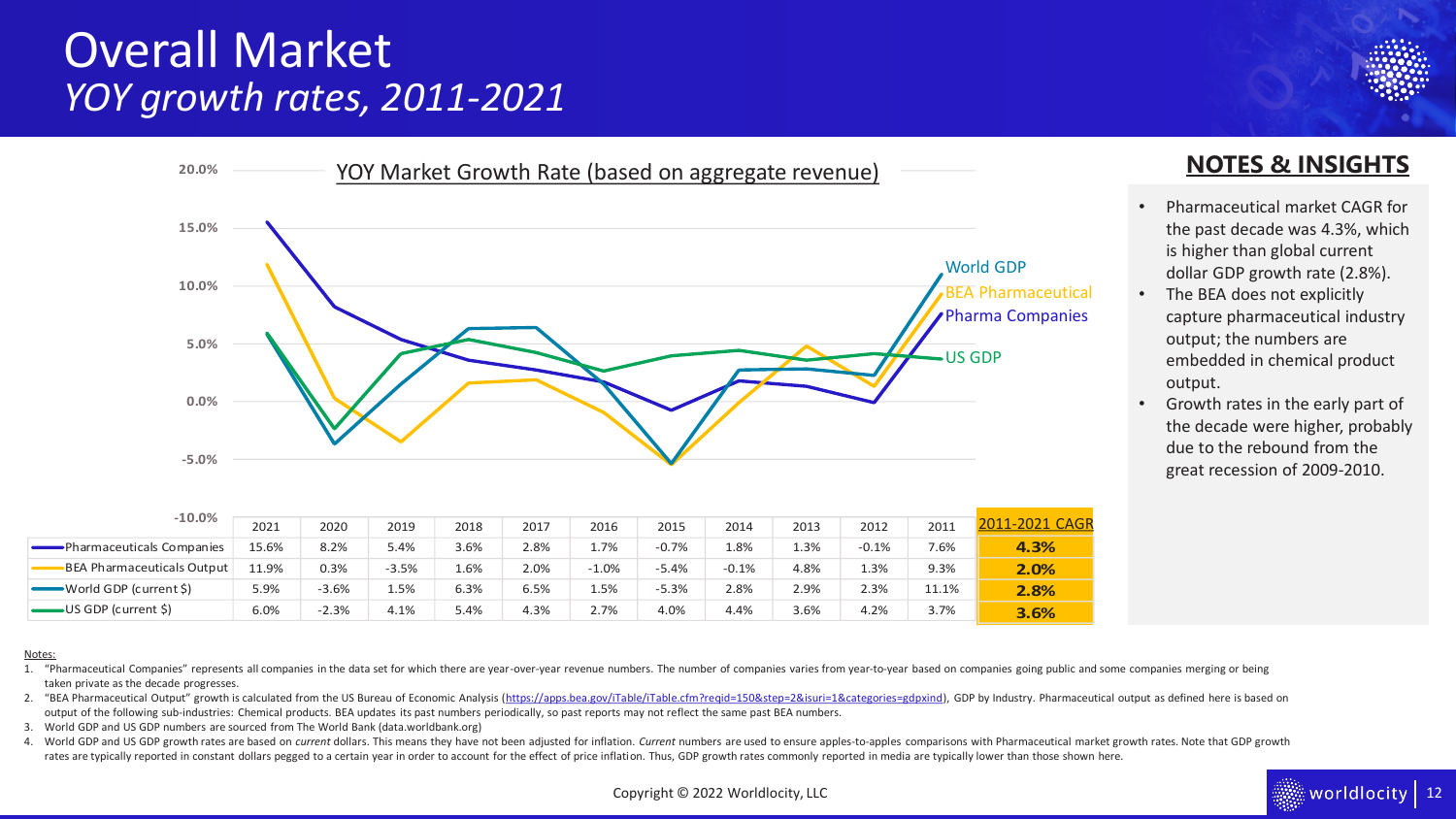### Overall Market *YOY growth rates, 2011-2021*



| $-10.0%$                                                                                                                                                                                                                                                                                                                                                                                                                                                                                                                           | 2021  | 2020    | 2019    | 2018 | 2017 | 2016    | 2015    | 2014                              | 2013 | 2012    | 2011  | 2011-2021 CAGR |                                                                                                                                                                                                                                |
|------------------------------------------------------------------------------------------------------------------------------------------------------------------------------------------------------------------------------------------------------------------------------------------------------------------------------------------------------------------------------------------------------------------------------------------------------------------------------------------------------------------------------------|-------|---------|---------|------|------|---------|---------|-----------------------------------|------|---------|-------|----------------|--------------------------------------------------------------------------------------------------------------------------------------------------------------------------------------------------------------------------------|
| -Pharmaceuticals Companies                                                                                                                                                                                                                                                                                                                                                                                                                                                                                                         | 15.6% | 8.2%    | 5.4%    | 3.6% | 2.8% | 1.7%    | $-0.7%$ | 1.8%                              | 1.3% | $-0.1%$ | 7.6%  | 4.3%           |                                                                                                                                                                                                                                |
| -BEA Pharmaceuticals Output                                                                                                                                                                                                                                                                                                                                                                                                                                                                                                        | 11.9% | 0.3%    | $-3.5%$ | 1.6% | 2.0% | $-1.0%$ | $-5.4%$ | $-0.1%$                           | 4.8% | 1.3%    | 9.3%  | 2.0%           |                                                                                                                                                                                                                                |
| $\longrightarrow$ World GDP (current \$)                                                                                                                                                                                                                                                                                                                                                                                                                                                                                           | 5.9%  | $-3.6%$ | 1.5%    | 6.3% | 6.5% | 1.5%    | $-5.3%$ | 2.8%                              | 2.9% | 2.3%    | 11.1% | 2.8%           |                                                                                                                                                                                                                                |
| $\longrightarrow$ US GDP (current \$)                                                                                                                                                                                                                                                                                                                                                                                                                                                                                              | 6.0%  | $-2.3%$ | 4.1%    | 5.4% | 4.3% | 2.7%    | 4.0%    | 4.4%                              | 3.6% | 4.2%    | 3.7%  | 3.6%           |                                                                                                                                                                                                                                |
| "Pharmaceutical Companies" represents all companies in the data set for which there are year-over-year revenue numbers. The number of companies varies from year-to-year based on companies going public and some companies me<br>taken private as the decade progresses.<br>output of the following sub-industries: Chemical products. BEA updates its past numbers periodically, so past reports may not reflect the same past BEA numbers.<br>World GDP and US GDP numbers are sourced from The World Bank (data.worldbank.org) |       |         |         |      |      |         |         |                                   |      |         |       |                | "BEA Pharmaceutical Output" growth is calculated from the US Bureau of Economic Analysis (https://apps.bea.gov/iTable/iTable.cfm?reqid=150&step=2&isuri=1&categories=gdpxind), GDP by Industry. Pharmaceutical output as defin |
| rates are typically reported in constant dollars pegged to a certain year in order to account for the effect of price inflation. Thus, GDP growth rates commonly reported in media are typically lower than those shown here.                                                                                                                                                                                                                                                                                                      |       |         |         |      |      |         |         |                                   |      |         |       |                | World GDP and US GDP growth rates are based on current dollars. This means they have not been adjusted for inflation. Current numbers are used to ensure apples-to-apples comparisons with Pharmaceutical market growth rates. |
|                                                                                                                                                                                                                                                                                                                                                                                                                                                                                                                                    |       |         |         |      |      |         |         | Copyright © 2022 Worldlocity, LLC |      |         |       |                | r <b>Idlocity</b>   12                                                                                                                                                                                                         |
|                                                                                                                                                                                                                                                                                                                                                                                                                                                                                                                                    |       |         |         |      |      |         |         |                                   |      |         |       |                |                                                                                                                                                                                                                                |

#### Notes:

- 1. "Pharmaceutical Companies" represents all companies in the data set for which there are year-over-year revenue numbers. The number of companies varies from year-to-year based on companies going public and some companies taken private as the decade progresses.
- 2. "BEA Pharmaceutical Output" growth is calculated from the US Bureau of Economic Analysis ([https://apps.bea.gov/iTable/iTable.cfm?reqid=150&step=2&isuri=1&categories=gdpxind\)](https://apps.bea.gov/iTable/iTable.cfm?reqid=150&step=2&isuri=1&categories=gdpxind), GDP by Industry. Pharmaceutical output as de output of the following sub-industries: Chemical products. BEA updates its past numbers periodically, so past reports may not reflect the same past BEA numbers.
- 3. World GDP and US GDP numbers are sourced from The World Bank (data.worldbank.org)
- 4. World GDP and US GDP growth rates are based on current dollars. This means they have not been adjusted for inflation. Current numbers are used to ensure apples-to-apples comparisons with Pharmaceutical market growth rat rates are typically reported in constant dollars pegged to a certain year in order to account for the effect of price inflation. Thus, GDP growth rates commonly reported in media are typically lower than those shown here.



- Pharmaceutical market CAGR for the past decade was 4.3%, which is higher than global current dollar GDP growth rate (2.8%).
- The BEA does not explicitly capture pharmaceutical industry output; the numbers are embedded in chemical product output.
- Growth rates in the early part of the decade were higher, probably due to the rebound from the great recession of 2009-2010.

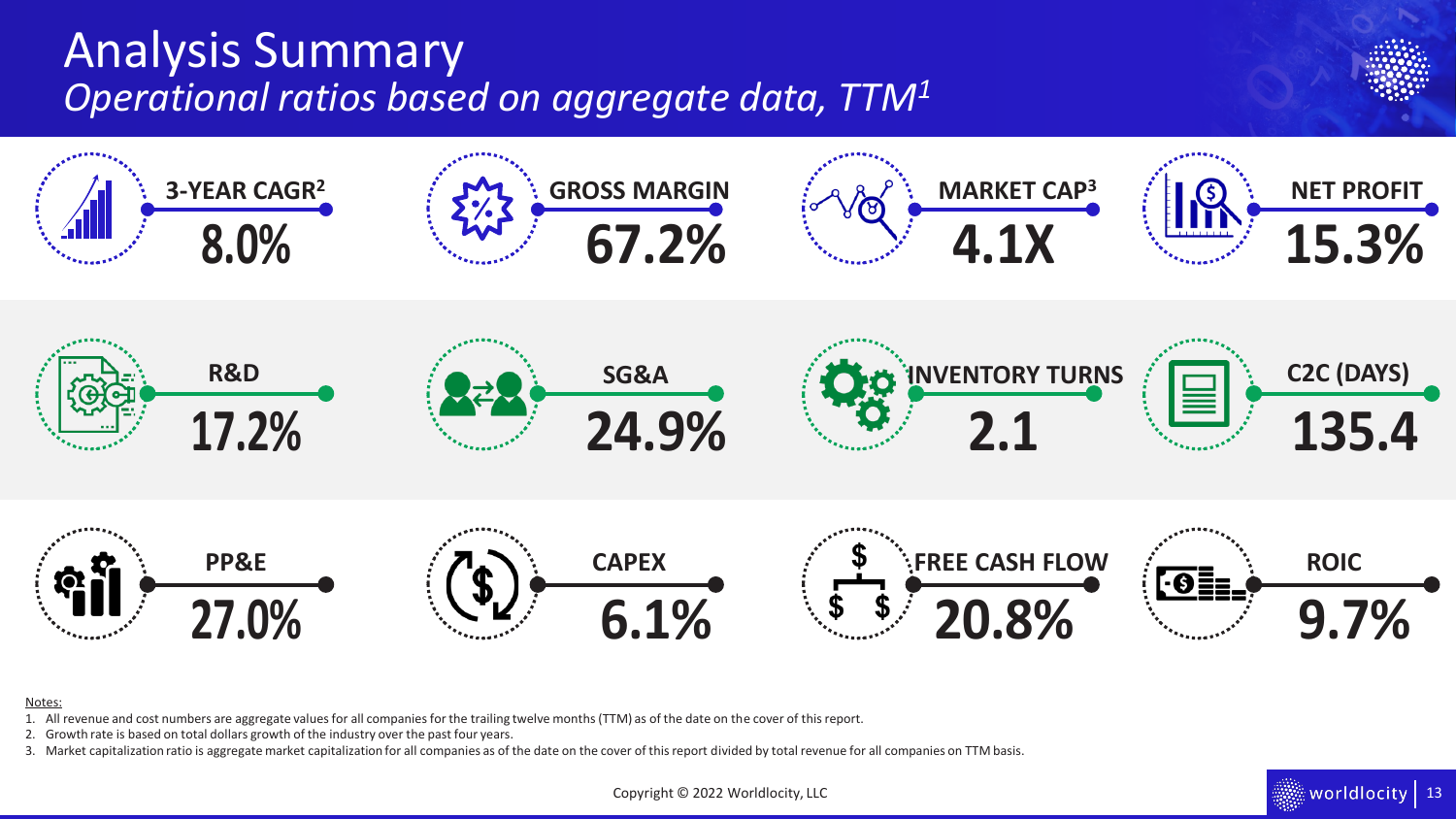## Analysis Summary *Operational ratios based on aggregate data, TTM<sup>1</sup>*



#### Notes:

- 1. All revenue and cost numbers are aggregate values for all companies for the trailing twelve months (TTM) as of the date on the cover of this report.
- 2. Growth rate is based on total dollars growth of the industry over the past four years.
- 3. Market capitalization ratio is aggregate market capitalization for all companies as of the date on the cover of this report divided by total revenue for all companies on TTM basis.

Copyright © 2022 Worldlocity, LLC

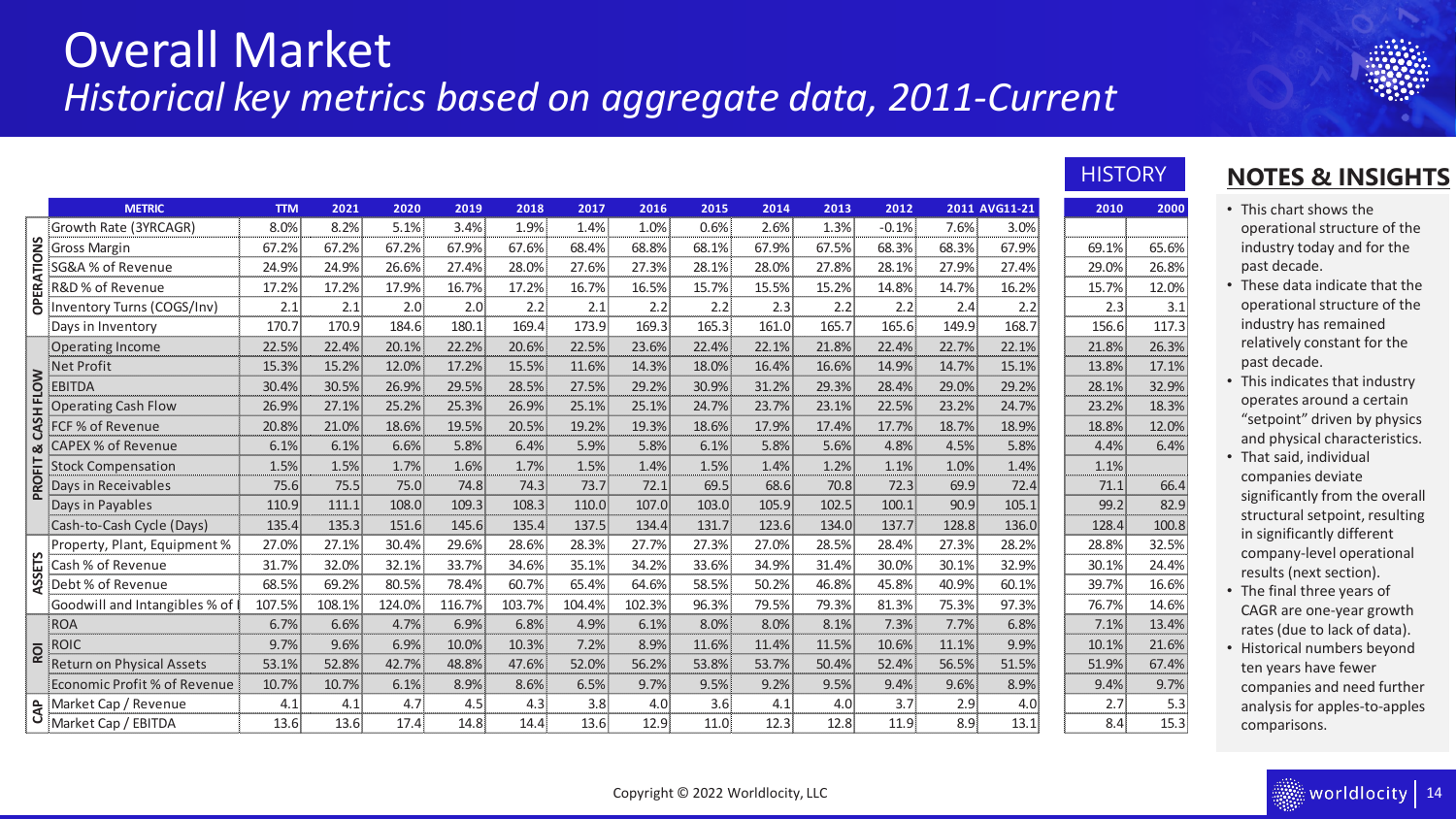### Overall Market *Historical key metrics based on aggregate data, 2011-Current*

|                   | <b>METRIC</b>                    | <b>TTM</b> | 2021   | 2020   | 2019   | 2018   | 2017   | 2016   | 2015  | 2014  | 2013  | 2012    |       | 2011 AVG11-21 | 2010  | 2000  |
|-------------------|----------------------------------|------------|--------|--------|--------|--------|--------|--------|-------|-------|-------|---------|-------|---------------|-------|-------|
|                   | Growth Rate (3YRCAGR)            | 8.0%       | 8.2%   | 5.1%   | 3.4%   | 1.9%   | 1.4%   | 1.0%   | 0.6%  | 2.6%  | 1.3%  | $-0.1%$ | 7.6%  | 3.0%          |       |       |
|                   | <b>Gross Margin</b>              | 67.2%      | 67.2%  | 67.2%  | 67.9%  | 67.6%  | 68.4%  | 68.8%  | 68.1% | 67.9% | 67.5% | 68.3%   | 68.3% | 67.9%         | 69.1% | 65.6% |
|                   | SG&A % of Revenue                | 24.9%      | 24.9%  | 26.6%  | 27.4%  | 28.0%  | 27.6%  | 27.3%  | 28.1% | 28.0% | 27.8% | 28.1%   | 27.9% | 27.4%         | 29.0% | 26.8% |
| <b>OPERATIONS</b> | R&D % of Revenue                 | 17.2%      | 17.2%  | 17.9%  | 16.7%  | 17.2%  | 16.7%  | 16.5%  | 15.7% | 15.5% | 15.2% | 14.8%   | 14.7% | 16.2%         | 15.7% | 12.0% |
|                   | Inventory Turns (COGS/Inv)       | 2.1        | 2.1    | 2.0    | 2.0    | 2.2    | 2.1    | 2.2    | 2.2   | 2.3   | 2.2   | 2.2     | 2.4   | 2.2           | 2.3   | 3.1   |
|                   | Days in Inventory                | 170.7      | 170.9  | 184.6  | 180.1  | 169.4  | 173.9  | 169.3  | 165.3 | 161.0 | 165.7 | 165.6   | 149.9 | 168.7         | 156.6 | 117.3 |
|                   | <b>Operating Income</b>          | 22.5%      | 22.4%  | 20.1%  | 22.2%  | 20.6%  | 22.5%  | 23.6%  | 22.4% | 22.1% | 21.8% | 22.4%   | 22.7% | 22.1%         | 21.8% | 26.3% |
|                   | <b>Net Profit</b>                | 15.3%      | 15.2%  | 12.0%  | 17.2%  | 15.5%  | 11.6%  | 14.3%  | 18.0% | 16.4% | 16.6% | 14.9%   | 14.7% | 15.1%         | 13.8% | 17.1% |
| <b>FLOW</b>       | <b>EBITDA</b>                    | 30.4%      | 30.5%  | 26.9%  | 29.5%  | 28.5%  | 27.5%  | 29.2%  | 30.9% | 31.2% | 29.3% | 28.4%   | 29.0% | 29.2%         | 28.1% | 32.9% |
|                   | <b>Operating Cash Flow</b>       | 26.9%      | 27.1%  | 25.2%  | 25.3%  | 26.9%  | 25.1%  | 25.1%  | 24.7% | 23.7% | 23.1% | 22.5%   | 23.2% | 24.7%         | 23.2% | 18.3% |
| CASH              | FCF % of Revenue                 | 20.8%      | 21.0%  | 18.6%  | 19.5%  | 20.5%  | 19.2%  | 19.3%  | 18.6% | 17.9% | 17.4% | 17.7%   | 18.7% | 18.9%         | 18.8% | 12.0% |
| න්                | <b>CAPEX % of Revenue</b>        | 6.1%       | 6.1%   | 6.6%   | 5.8%   | 6.4%   | 5.9%   | 5.8%   | 6.1%  | 5.8%  | 5.6%  | 4.8%    | 4.5%  | 5.8%          | 4.4%  | 6.4%  |
| EIT               | <b>Stock Compensation</b>        | 1.5%       | 1.5%   | 1.7%   | 1.6%   | 1.7%   | 1.5%   | 1.4%   | 1.5%  | 1.4%  | 1.2%  | 1.1%    | 1.0%  | 1.4%          | 1.1%  |       |
| PROI              | Days in Receivables              | 75.6       | 75.5   | 75.0   | 74.8   | 74.3   | 73.7   | 72.1   | 69.5  | 68.6  | 70.8  | 72.3    | 69.9  | 72.4          | 71.1  | 66.4  |
|                   | Days in Payables                 | 110.9      | 111.1  | 108.0  | 109.3  | 108.3  | 110.0  | 107.0  | 103.0 | 105.9 | 102.5 | 100.1   | 90.9  | 105.1         | 99.2  | 82.9  |
|                   | Cash-to-Cash Cycle (Days)        | 135.4      | 135.3  | 151.6  | 145.6  | 135.4  | 137.5  | 134.4  | 131.7 | 123.6 | 134.0 | 137.7   | 128.8 | 136.0         | 128.4 | 100.8 |
|                   | Property, Plant, Equipment %     | 27.0%      | 27.1%  | 30.4%  | 29.6%  | 28.6%  | 28.3%  | 27.7%  | 27.3% | 27.0% | 28.5% | 28.4%   | 27.3% | 28.2%         | 28.8% | 32.5% |
| <b>ASSETS</b>     | Cash % of Revenue                | 31.7%      | 32.0%  | 32.1%  | 33.7%  | 34.6%  | 35.1%  | 34.2%  | 33.6% | 34.9% | 31.4% | 30.0%   | 30.1% | 32.9%         | 30.1% | 24.4% |
|                   | Debt % of Revenue                | 68.5%      | 69.2%  | 80.5%  | 78.4%  | 60.7%  | 65.4%  | 64.6%  | 58.5% | 50.2% | 46.8% | 45.8%   | 40.9% | 60.1%         | 39.7% | 16.6% |
|                   | Goodwill and Intangibles % of    | 107.5%     | 108.1% | 124.0% | 116.7% | 103.7% | 104.4% | 102.3% | 96.3% | 79.5% | 79.3% | 81.3%   | 75.3% | 97.3%         | 76.7% | 14.6% |
|                   | <b>ROA</b>                       | 6.7%       | 6.6%   | 4.7%   | 6.9%   | 6.8%   | 4.9%   | 6.1%   | 8.0%  | 8.0%  | 8.1%  | 7.3%    | 7.7%  | 6.8%          | 7.1%  | 13.4% |
| <b>ROI</b>        | <b>ROIC</b>                      | 9.7%       | 9.6%   | 6.9%   | 10.0%  | 10.3%  | 7.2%   | 8.9%   | 11.6% | 11.4% | 11.5% | 10.6%   | 11.1% | 9.9%          | 10.1% | 21.6% |
|                   | <b>Return on Physical Assets</b> | 53.1%      | 52.8%  | 42.7%  | 48.8%  | 47.6%  | 52.0%  | 56.2%  | 53.8% | 53.7% | 50.4% | 52.4%   | 56.5% | 51.5%         | 51.9% | 67.4% |
|                   | Economic Profit % of Revenue     | 10.7%      | 10.7%  | 6.1%   | 8.9%   | 8.6%   | 6.5%   | 9.7%   | 9.5%  | 9.2%  | 9.5%  | 9.4%    | 9.6%  | 8.9%          | 9.4%  | 9.7%  |
| CAP               | Market Cap / Revenue             | 4.1        | 4.1    | 4.7    | 4.5    | 4.3    | 3.8    | 4.0    | 3.6   | 4.1   | 4.0   | 3.7     | 2.9   | 4.0           | 2.7   | 5.3   |
|                   | Market Cap / EBITDA              | 13.6       | 13.6   | 17.4   | 14.8   | 14.4   | 13.6   | 12.9   | 11.0  | 12.3  | 12.8  | 11.9    | 8.9   | 13.1          | 8.4   | 15.3  |

### **HISTORY**

| 2010  | 2000  |  | This o             |
|-------|-------|--|--------------------|
|       |       |  | opera              |
| 69.1% | 65.6% |  | indus              |
| 29.0% | 26.8% |  | past               |
| 15.7% | 12.0% |  | These              |
| 2.3   | 3.1   |  | opera              |
| 156.6 | 117.3 |  | indus              |
| 21.8% | 26.3% |  | relati             |
| 13.8% | 17.1% |  | past               |
| 28.1% | 32.9% |  | This i             |
| 23.2% | 18.3% |  | opera              |
| 18.8% | 12.0% |  | "setp              |
| 4.4%  | 6.4%  |  | and p              |
| 1.1%  |       |  | That               |
| 71.1  | 66.4  |  | comp               |
| 99.2  | 82.9  |  | signif             |
| 128.4 | 100.8 |  | struc              |
| 28.8% | 32.5% |  | in sig<br>comr     |
| 30.1% | 24.4% |  | resul <sup>.</sup> |
| 39.7% | 16.6% |  | The f              |
| 76.7% | 14.6% |  | <b>CAGF</b>        |
| 7.1%  | 13.4% |  | rates              |
| 10.1% | 21.6% |  | Histo              |
| 51.9% | 67.4% |  | ten y              |
| 9.4%  | 9.7%  |  | comp               |
| 2.7   | 5.3   |  | analy              |
| 8.4   | 15.3  |  | comr               |

### **NOTES & INSIGHTS**

- chart shows the rational structure of the stry today and for the decade.
- e data indicate that the ational structure of the stry has remained ively constant for the decade.
- indicates that industry ates around a certain oint" driven by physics physical characteristics.
- said, individual panies deviate ficantly from the overall tural setpoint, resulting **in in significantly different** pany-level operational Its (next section).
- final three years of R are one-year growth for (due to lack of data).
- rical numbers beyond rears have fewer panies and need further ysis for apples-to-apples parisons.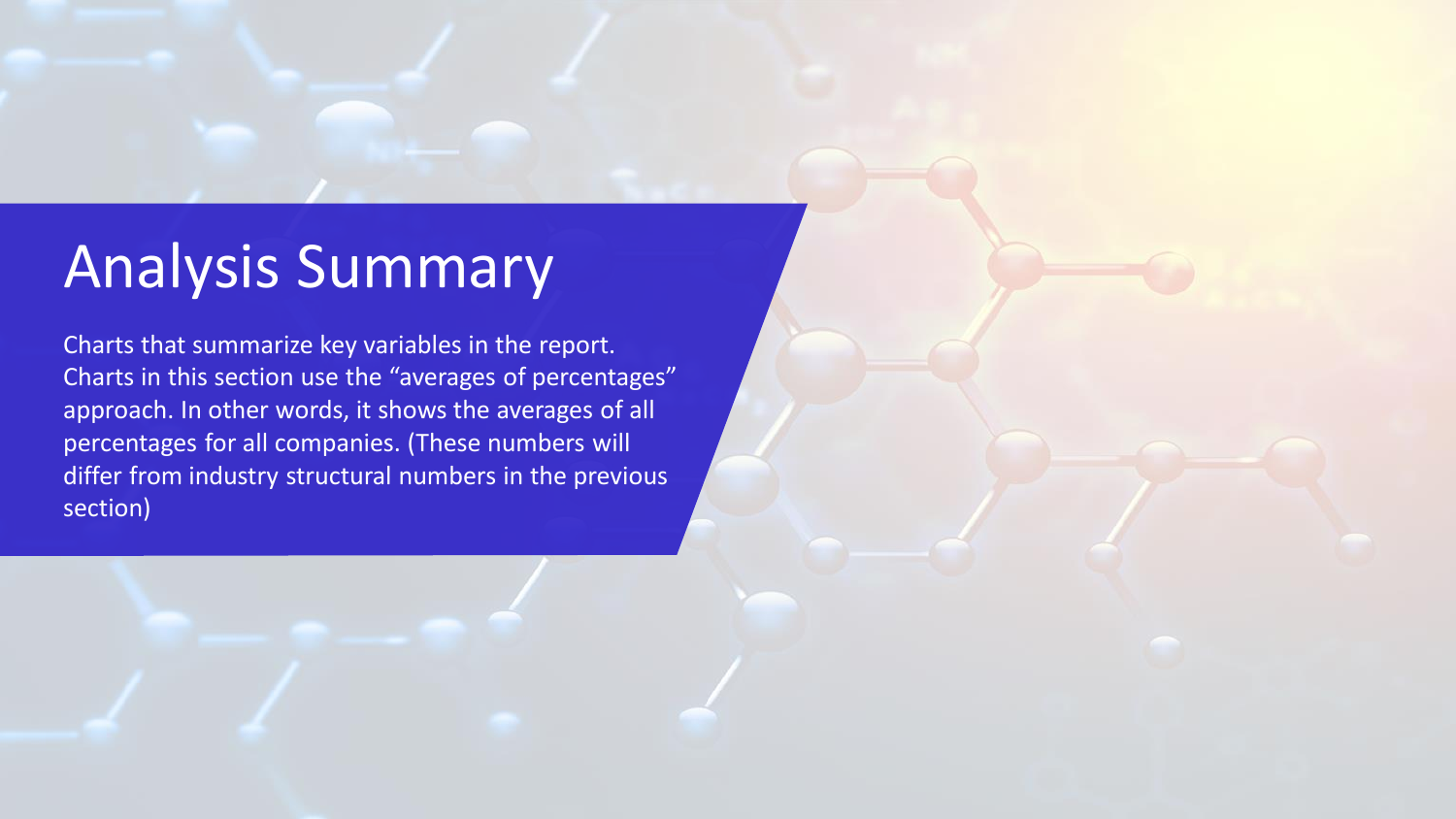# <span id="page-14-0"></span>Analysis Summary

Charts that summarize key variables in the report. Charts in this section use the "averages of percentages" approach. In other words, it shows the averages of all percentages for all companies. (These numbers will differ from industry structural numbers in the previous section)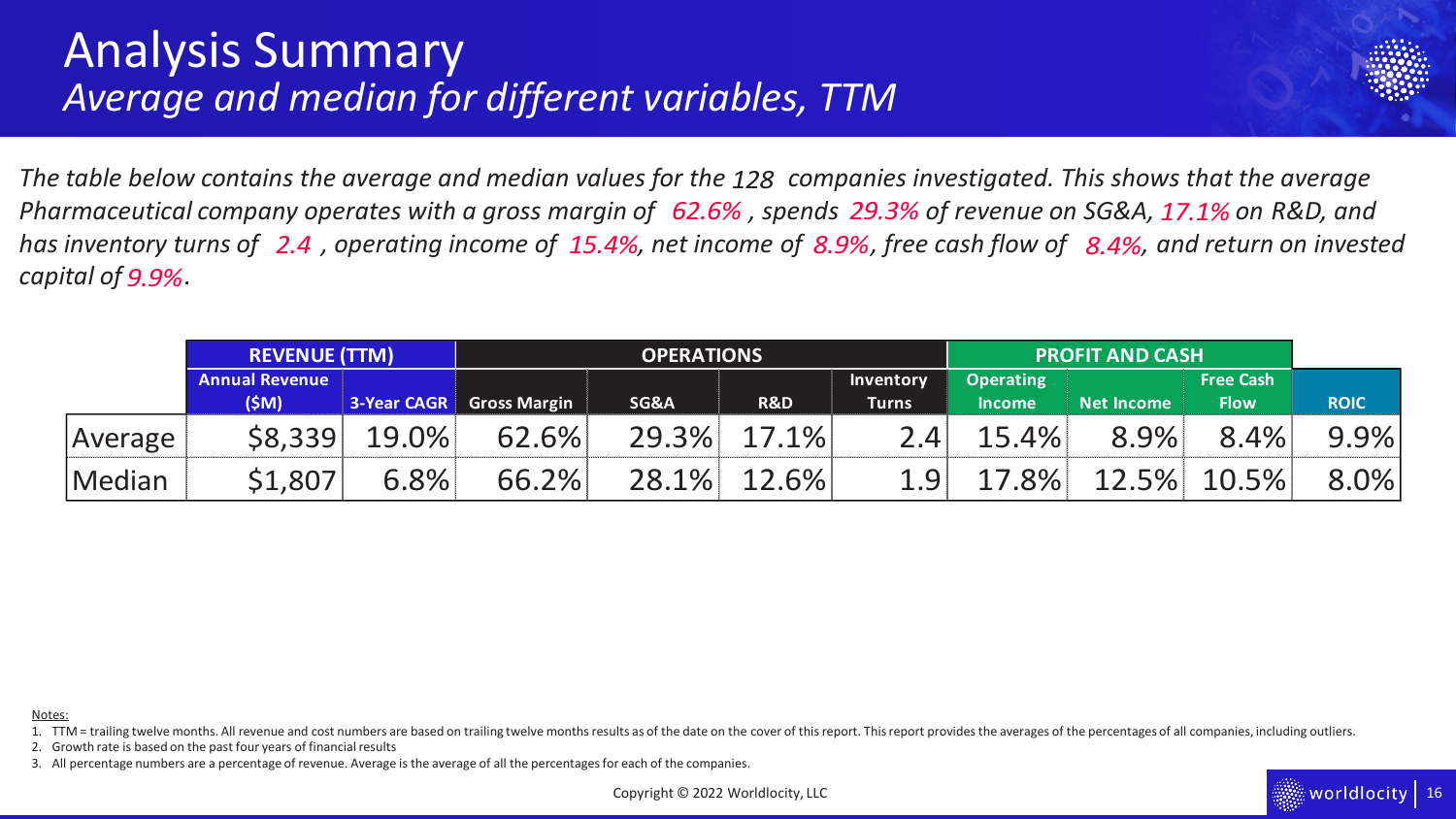### Analysis Summary *Average and median for different variables, TTM*



The table below contains the average and median values for the 128 companies investigated. This shows that the average *Pharmaceutical company operates with a gross margin of 62.6%, spends 29.3% of revenue on SG&A, 17.1% on R&D, and has inventory turns of 2.4, operating income of 15.4%, net income of 8.9%, free cash flow of 8.4%, and return on invested capital of . 9.9%*

|         | <b>REVENUE (TTM)</b>  |                    |                     | <b>OPERATIONS</b> |       |              | <b>PROFIT AND CASH</b> |                   |             |             |
|---------|-----------------------|--------------------|---------------------|-------------------|-------|--------------|------------------------|-------------------|-------------|-------------|
|         | <b>Annual Revenue</b> |                    |                     |                   |       | Inventory    | <b>Operating</b>       |                   |             |             |
|         | (\$M)                 | <b>3-Year CAGR</b> | <b>Gross Margin</b> | SG&A              | R&D   | <b>Turns</b> | <b>Income</b>          | <b>Net Income</b> | <b>Flow</b> | <b>ROIC</b> |
| Average | \$8,339               | 19.0%              | 62.6%               | 29.3%             | 17.1% | 2.4          | 15.4%                  | 8.9%              | 8.4%        | 9.9%        |
| Median  | \$1,807               | 6.8%               | 66.2%               | 28.1%             | 12.6% | 1.9          | 17.8%                  | 12.5%             | 10.5%       | 8.0%        |

Notes:

1. TTM = trailing twelve months. All revenue and cost numbers are based on trailing twelve months results as of the date on the cover of this report. This report provides the averages of the percentages of all companies, i

2. Growth rate is based on the past four years of financial results

3. All percentage numbers are a percentage of revenue. Average is the average of all the percentages for each of the companies.

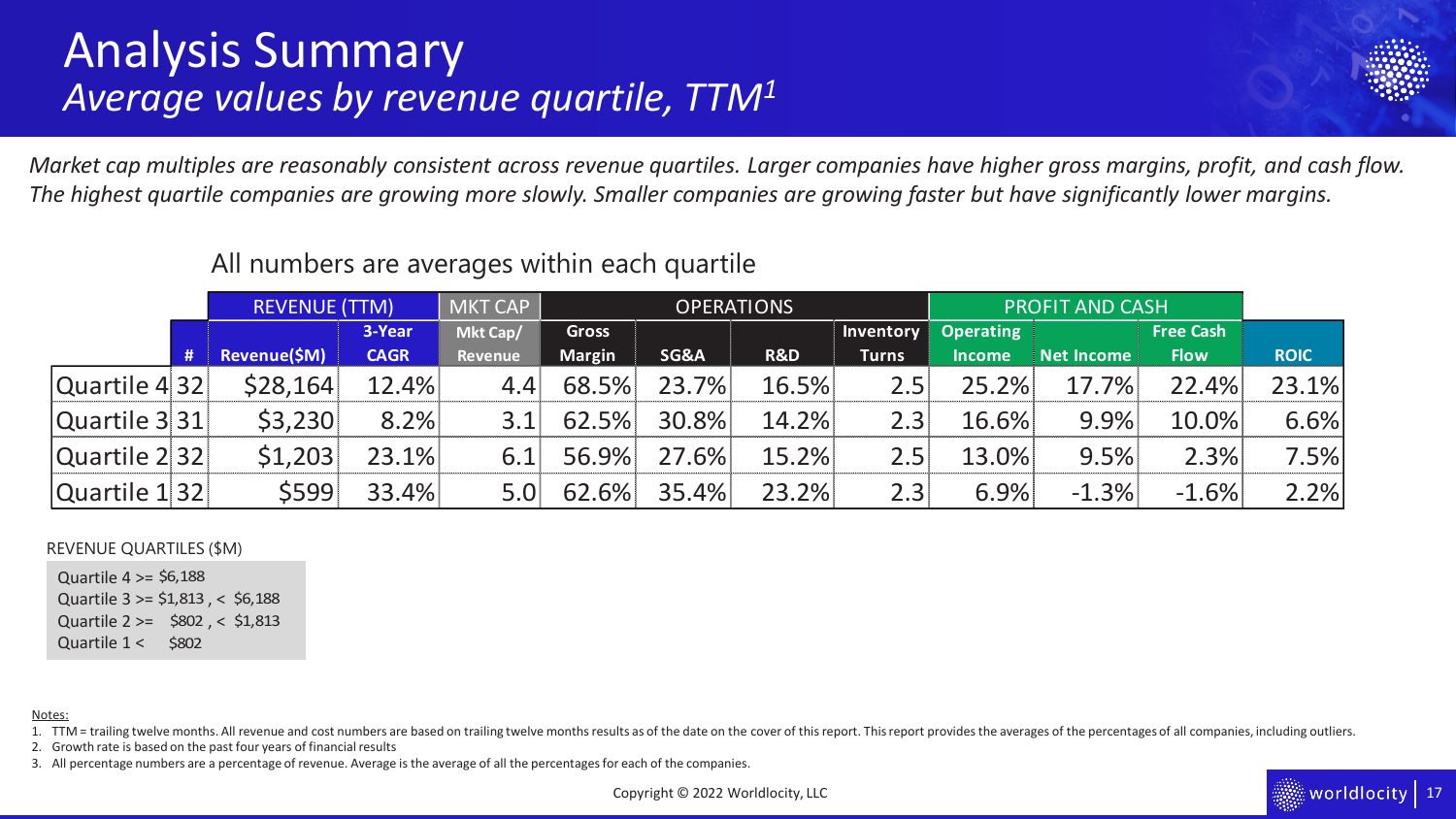### Analysis Summary *Average values by revenue quartile, TTM<sup>1</sup>*



*Market cap multiples are reasonably consistent across revenue quartiles. Larger companies have higher gross margins, profit, and cash flow. The highest quartile companies are growing more slowly. Smaller companies are growing faster but have significantly lower margins.* 

#### All numbers are averages within each quartile MKT CAP **3-Year Mkt Cap/ Gross Inventory**  REVENUE (TTM) IN IN TIME TO PERATIONS IN THE PROFIT AND CASH

|               |     |              | 3-Year      | Mkt Cap/ | <b>Gross</b>  |       |       | Inventory    | <b>Operating</b> |                   | <b>Free Cash</b> |             |
|---------------|-----|--------------|-------------|----------|---------------|-------|-------|--------------|------------------|-------------------|------------------|-------------|
|               | /#/ | Revenue(\$M) | <b>CAGR</b> | Revenue  | <b>Margin</b> | SG&A  | R&D   | <b>Turns</b> | <b>Income</b>    | <b>Net Income</b> | <b>Flow</b>      | <b>ROIC</b> |
| Quartile 4 32 |     | \$28,164     | 12.4%       | 4.4      | 68.5%         | 23.7% | 16.5% | 2.5          | 25.2%            | 17.7%             | 22.4%            | 23.1%       |
| Quartile 3 31 |     | \$3,230      | 8.2%        |          | 62.5%         | 30.8% | 14.2% | 2.3          | 16.6%            | 9.9%              | 10.0%            | 6.6%        |
| Quartile 2 32 |     | \$1,203      | 23.1%       | 6.1      | 56.9%         | 27.6% | 15.2% | 2.5          | 13.0%            | 9.5%              | 2.3%             | 7.5%        |
| Quartile 1 32 |     | \$599        | 33.4%       |          | 62.6%         | 35.4% | 23.2% | 2.3          | 6.9%             | $-1.3%$           | $-1.6%$          | $2\%$       |

### REVENUE QUARTILES (\$M)

Quartile  $4 \ge 56,188$ Quartile 3 >= \$1,813 , < \$6,188 Quartile 2 >= \$802, < \$1,813 Quartile  $1 <$  \$802 \$6,188<br>\$1,813<br>\$802<br>\$802

### Notes:

1. TTM = trailing twelve months. All revenue and cost numbers are based on trailing twelve months results as of the date on the cover of this report. This report provides the averages of the percentages of all companies, i

2. Growth rate is based on the past four years of financial results

3. All percentage numbers are a percentage of revenue. Average is the average of all the percentages for each of the companies.

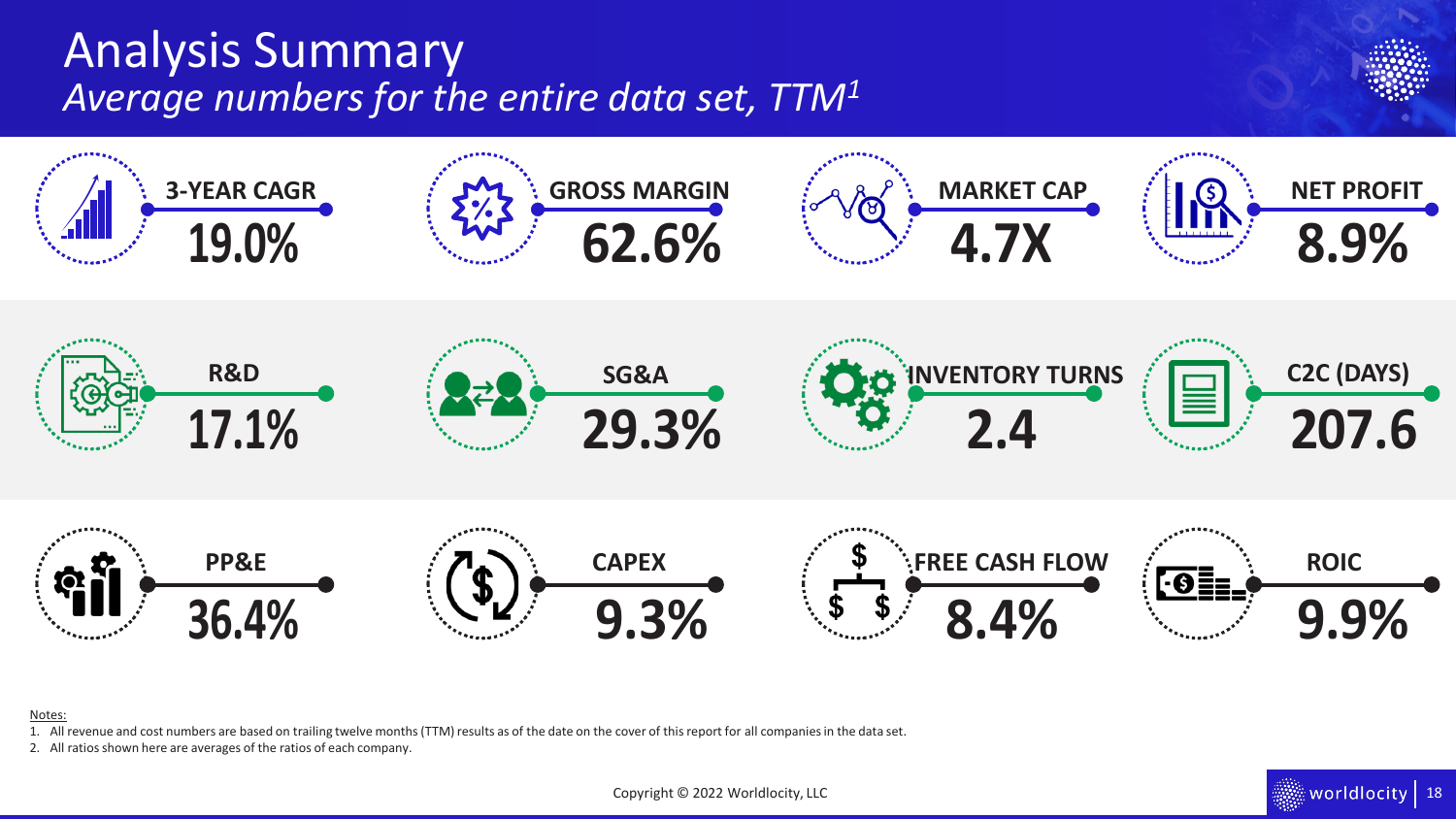## <span id="page-17-0"></span>Analysis Summary *Average numbers for the entire data set, TTM<sup>1</sup>*



### Notes:

1. All revenue and cost numbers are based on trailing twelve months (TTM) results as of the date on the cover of this report for all companies in the data set.

 $\quad$  worldlocity  $\mid$  18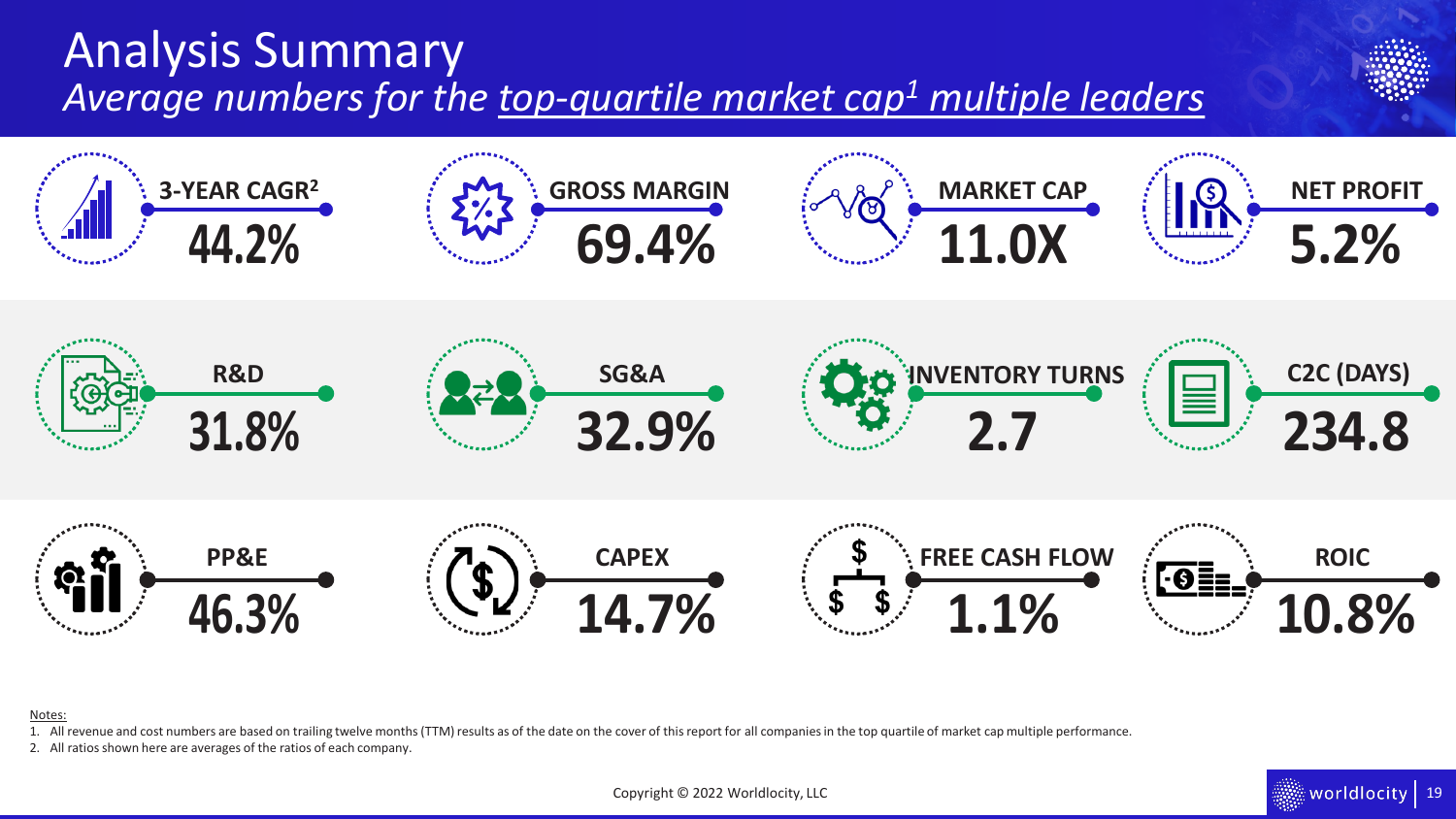## Analysis Summary *Average numbers for the top-quartile market cap<sup>1</sup> multiple leaders*



### Notes:

1. All revenue and cost numbers are based on trailing twelve months (TTM) results as of the date on the cover of this report for all companies in the top quartile of market cap multiple performance.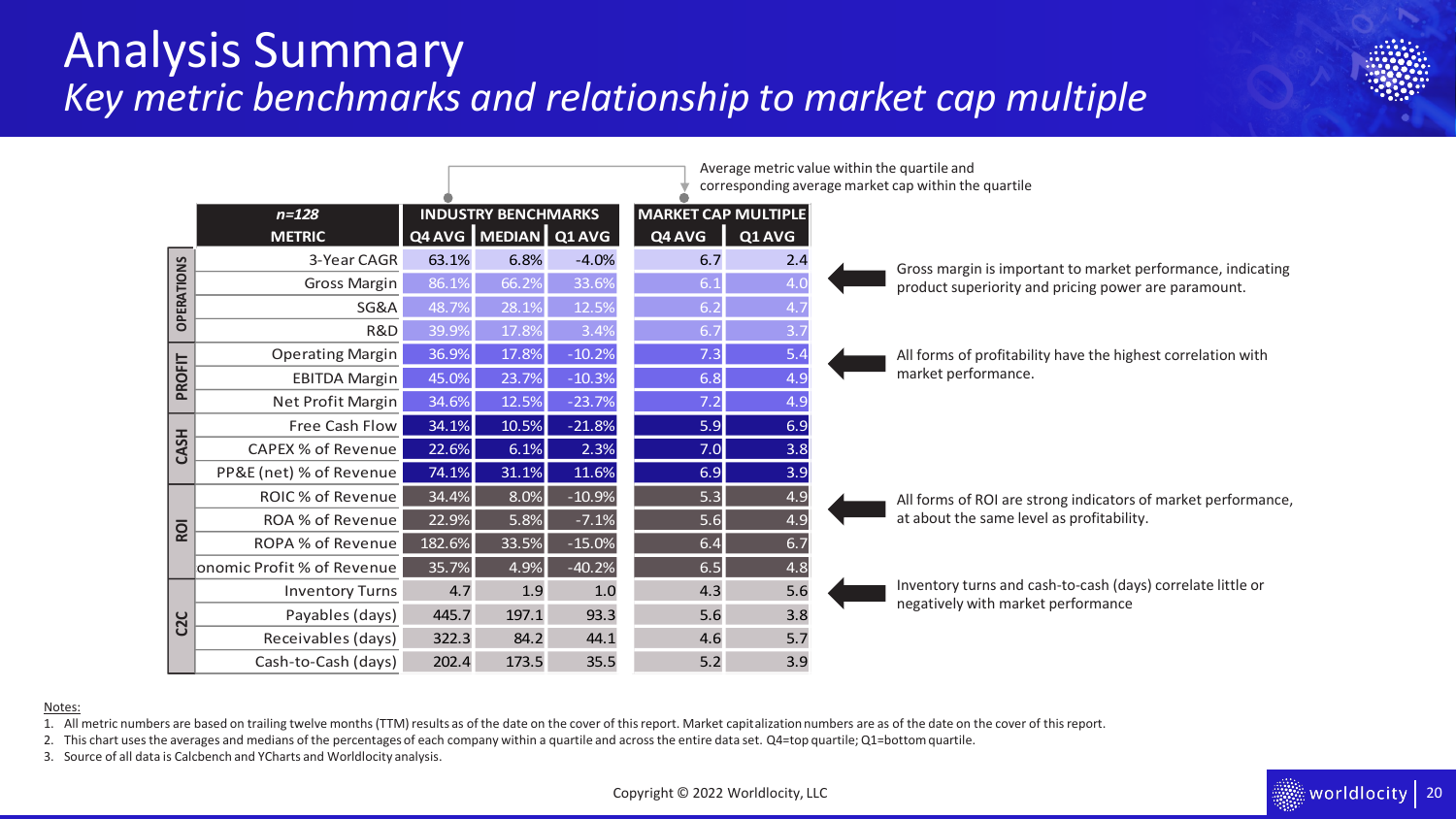### Analysis Summary *Key metric benchmarks and relationship to market cap multiple*



|                   |                            |        |                            |          |                            |        | corresponding average market cap within the quartile          |
|-------------------|----------------------------|--------|----------------------------|----------|----------------------------|--------|---------------------------------------------------------------|
|                   | $n = 128$                  |        | <b>INDUSTRY BENCHMARKS</b> |          | <b>MARKET CAP MULTIPLE</b> |        |                                                               |
|                   | <b>METRIC</b>              |        | Q4 AVG MEDIAN Q1 AVG       |          | Q4 AVG                     | Q1 AVG |                                                               |
|                   | 3-Year CAGR                | 63.1%  | 6.8%                       | $-4.0%$  | 6.7                        | 2.4    | Gross margin is important to market performance, indicating   |
|                   | <b>Gross Margin</b>        | 86.1%  | 66.2%                      | 33.6%    | 6.1                        | 4.0    | product superiority and pricing power are paramount.          |
| <b>OPERATIONS</b> | SG&A                       | 48.7%  | 28.1%                      | 12.5%    | 6.2                        |        |                                                               |
|                   | R&D                        | 39.9%  | 17.8%                      | 3.4%     | 6.7                        | 3.7    |                                                               |
|                   | <b>Operating Margin</b>    | 36.9%  | 17.8%                      | $-10.2%$ | 7.3                        | 5.4    | All forms of profitability have the highest correlation with  |
| <b>PROFIT</b>     | <b>EBITDA Margin</b>       | 45.0%  | 23.7%                      | $-10.3%$ | 6.8                        | 4.9    | market performance.                                           |
|                   | Net Profit Margin          | 34.6%  | 12.5%                      | $-23.7%$ | 7.2                        | 4.9    |                                                               |
|                   | Free Cash Flow             | 34.1%  | 10.5%                      | $-21.8%$ | 5.9                        | 6.9    |                                                               |
| CASH              | <b>CAPEX % of Revenue</b>  | 22.6%  | 6.1%                       | 2.3%     | 7.0                        | 3.8    |                                                               |
|                   | PP&E (net) % of Revenue    | 74.1%  | 31.1%                      | 11.6%    | 6.9                        | 3.9    |                                                               |
|                   | ROIC % of Revenue          | 34.4%  | 8.0%                       | $-10.9%$ | 5.3                        | 4.9    | All forms of ROI are strong indicators of market performance, |
| <b>ROI</b>        | ROA % of Revenue           | 22.9%  | 5.8%                       | $-7.1%$  | 5.6                        | 4.9    | at about the same level as profitability.                     |
|                   | ROPA % of Revenue          | 182.6% | 33.5%                      | $-15.0%$ | 6.4                        | 6.7    |                                                               |
|                   | onomic Profit % of Revenue | 35.7%  | 4.9%                       | $-40.2%$ | 6.5                        | 4.8    |                                                               |
|                   | <b>Inventory Turns</b>     | 4.7    | 1.9                        | 1.0      | 4.3                        | 5.6    | Inventory turns and cash-to-cash (days) correlate little or   |
| C <sub>2</sub> C  | Payables (days)            | 445.7  | 197.1                      | 93.3     | 5.6                        | 3.8    | negatively with market performance                            |
|                   | Receivables (days)         | 322.3  | 84.2                       | 44.1     | 4.6                        | 5.7    |                                                               |
|                   | Cash-to-Cash (days)        | 202.4  | 173.5                      | 35.5     | 5.2                        | 3.9    |                                                               |

Average metric value within the quartile and

#### Notes:

1. All metric numbers are based on trailing twelve months (TTM) results as of the date on the cover of this report. Market capitalization numbers are as of the date on the cover of this report.

2. This chart uses the averages and medians of the percentages of each company within a quartile and across the entire data set. Q4=top quartile; Q1=bottom quartile.

3. Source of all data is Calcbench and YCharts and Worldlocity analysis.

Copyright © 2022 Worldlocity, LLC

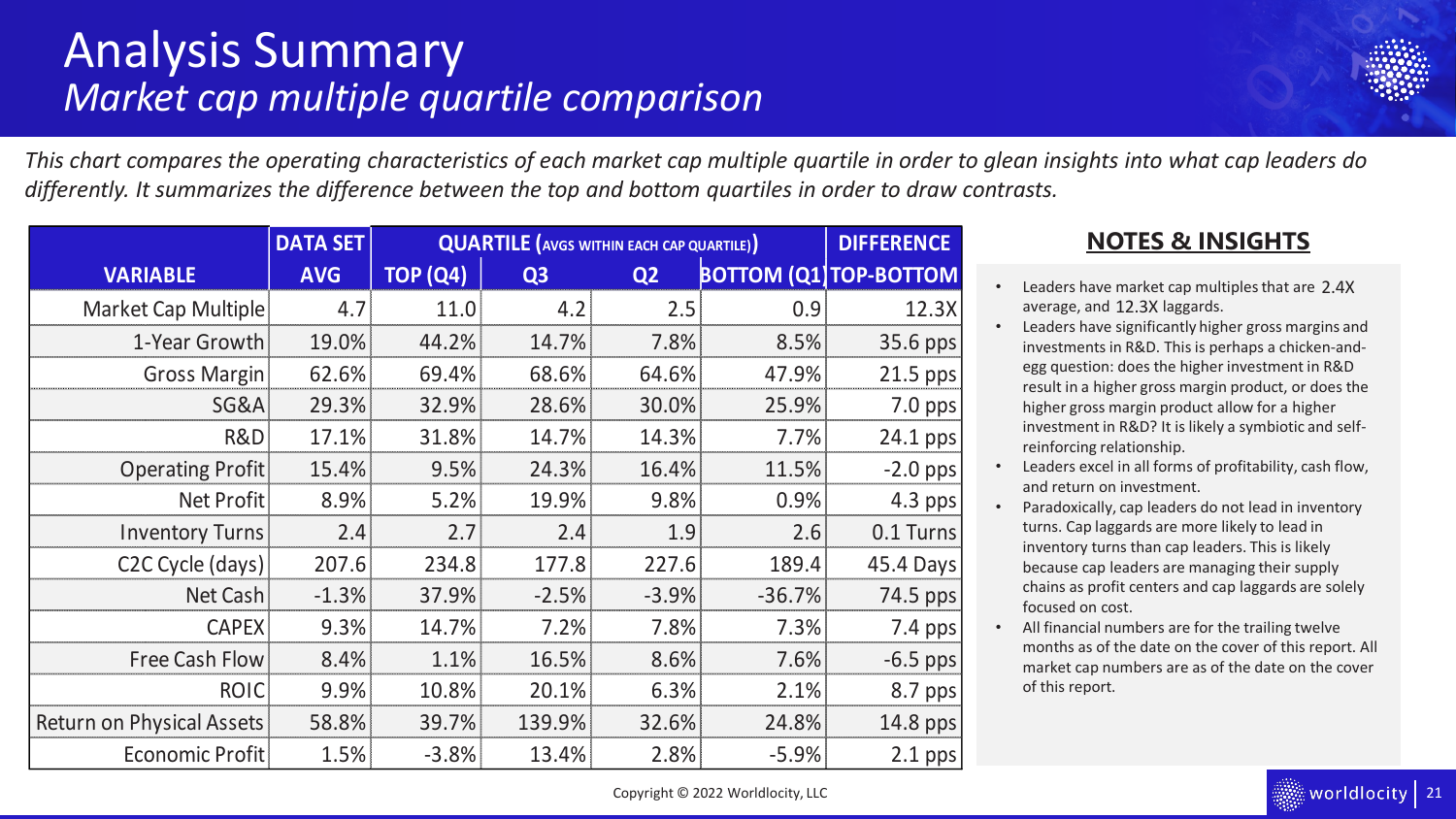### <span id="page-20-0"></span>Analysis Summary *Market cap multiple quartile comparison*



*This chart compares the operating characteristics of each market cap multiple quartile in order to glean insights into what cap leaders do differently. It summarizes the difference between the top and bottom quartiles in order to draw contrasts.* 

|                               | <b>DATA SET</b> | <b>QUARTILE</b> (AVGS WITHIN EACH CAP QUARTILE) | <b>DIFFERENCE</b> |                |          |                               |
|-------------------------------|-----------------|-------------------------------------------------|-------------------|----------------|----------|-------------------------------|
| <b>VARIABLE</b>               | <b>AVG</b>      | <b>TOP (Q4)</b>                                 | Q <sub>3</sub>    | Q <sub>2</sub> |          | <b>BOTTOM (Q1) TOP-BOTTOM</b> |
| <b>Market Cap Multiple</b>    | 4.7             | 11.0                                            | 4.2               | 2.5            | 0.9      | 12.3X                         |
| 1-Year Growth                 | 19.0%           | 44.2%                                           | 14.7%             | 7.8%           | 8.5%     | 35.6 pps                      |
| <b>Gross Margin</b>           | 62.6%           | 69.4%                                           | 68.6%             | 64.6%          | 47.9%    | 21.5 pps                      |
| <b>SG&amp;A</b>               | 29.3%           | 32.9%                                           | 28.6%             | 30.0%          | 25.9%    | 7.0 pps                       |
| R&D                           | 17.1%           | 31.8%                                           | 14.7%             | 14.3%          | 7.7%     | 24.1 pps                      |
| <b>Operating Profit</b>       | 15.4%           | 9.5%                                            | 24.3%             | 16.4%          | 11.5%    | $-2.0$ pps                    |
| <b>Net Profit</b>             | 8.9%            | 5.2%                                            | 19.9%             | 9.8%           | 0.9%     | 4.3 pps                       |
| <b>Inventory Turns</b>        | 2.4             | 2.7                                             | 2.4               | 1.9            | 2.6      | 0.1 Turns                     |
| C <sub>2</sub> C Cycle (days) | 207.6           | 234.8                                           | 177.8             | 227.6          | 189.4    | 45.4 Days                     |
| Net Cash                      | $-1.3%$         | 37.9%                                           | $-2.5%$           | $-3.9%$        | $-36.7%$ | 74.5 pps                      |
| <b>CAPEX</b>                  | 9.3%            | 14.7%                                           | 7.2%              | 7.8%           | 7.3%     | 7.4 pps                       |
| <b>Free Cash Flow</b>         | 8.4%            | 1.1%                                            | 16.5%             | 8.6%           | 7.6%     | $-6.5$ pps                    |
| <b>ROIC</b>                   | 9.9%            | 10.8%                                           | 20.1%             | 6.3%           | 2.1%     | 8.7 pps                       |
| Return on Physical Assets     | 58.8%           | 39.7%                                           | 139.9%            | 32.6%          | 24.8%    | 14.8 pps                      |
| <b>Economic Profit</b>        | 1.5%            | $-3.8%$                                         | 13.4%             | 2.8%           | $-5.9%$  | 2.1 pps                       |

### **NOTES & INSIGHTS**

- Leaders have market cap multiples that are 2.4X<br>average, and 12.3X laggards. average, and 12.3X laggards.
- Leaders have significantly higher gross margins and investments in R&D. This is perhaps a chicken-andegg question: does the higher investment in R&D result in a higher gross margin product, or does the higher gross margin product allow for a higher investment in R&D? It is likely a symbiotic and selfreinforcing relationship.
- Leaders excel in all forms of profitability, cash flow, and return on investment.
- Paradoxically, cap leaders do not lead in inventory turns. Cap laggards are more likely to lead in inventory turns than cap leaders. This is likely because cap leaders are managing their supply chains as profit centers and cap laggards are solely focused on cost.
- All financial numbers are for the trailing twelve months as of the date on the cover of this report. All market cap numbers are as of the date on the cover of this report.

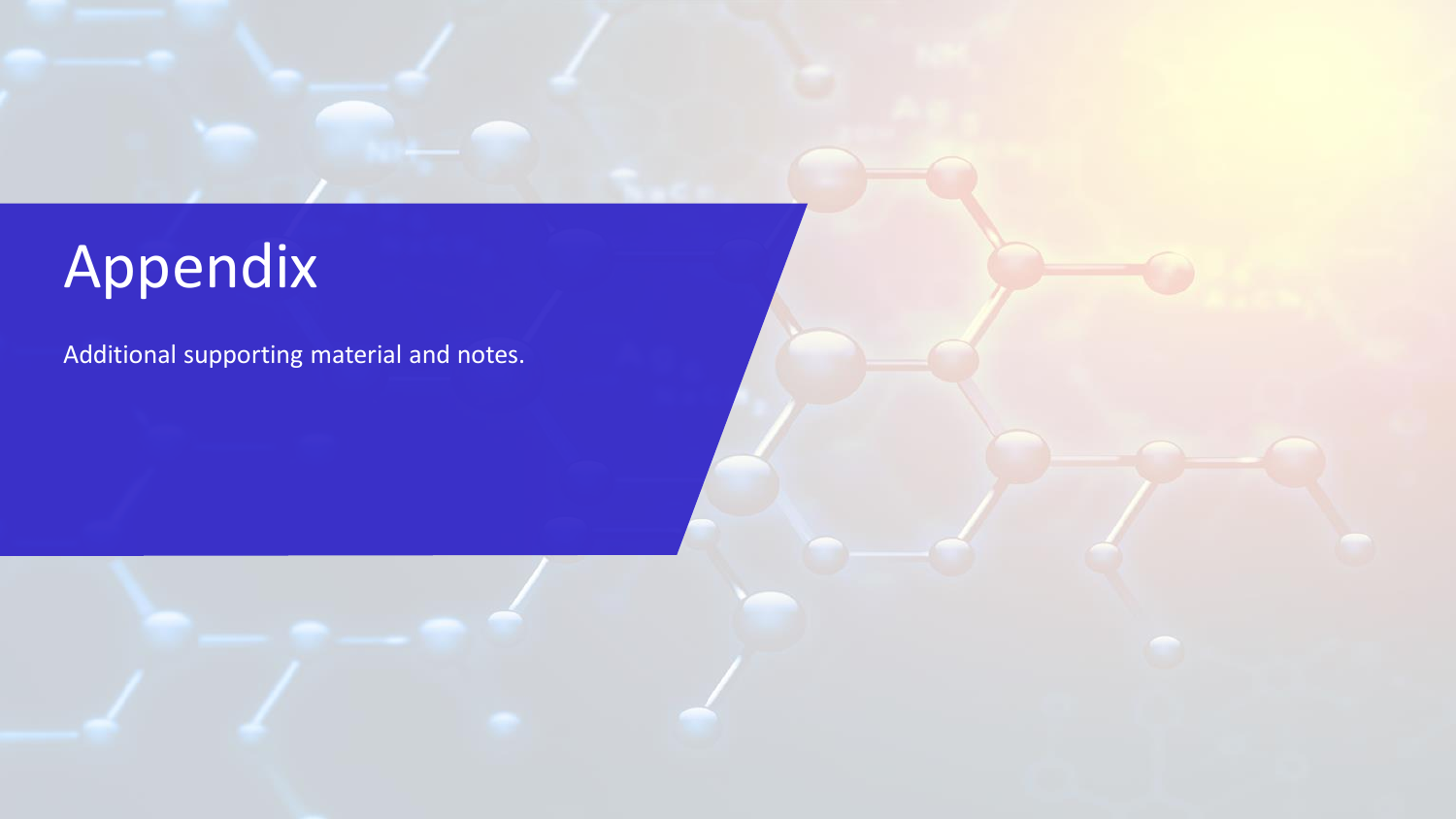# <span id="page-21-0"></span>Appendix

Additional supporting material and notes.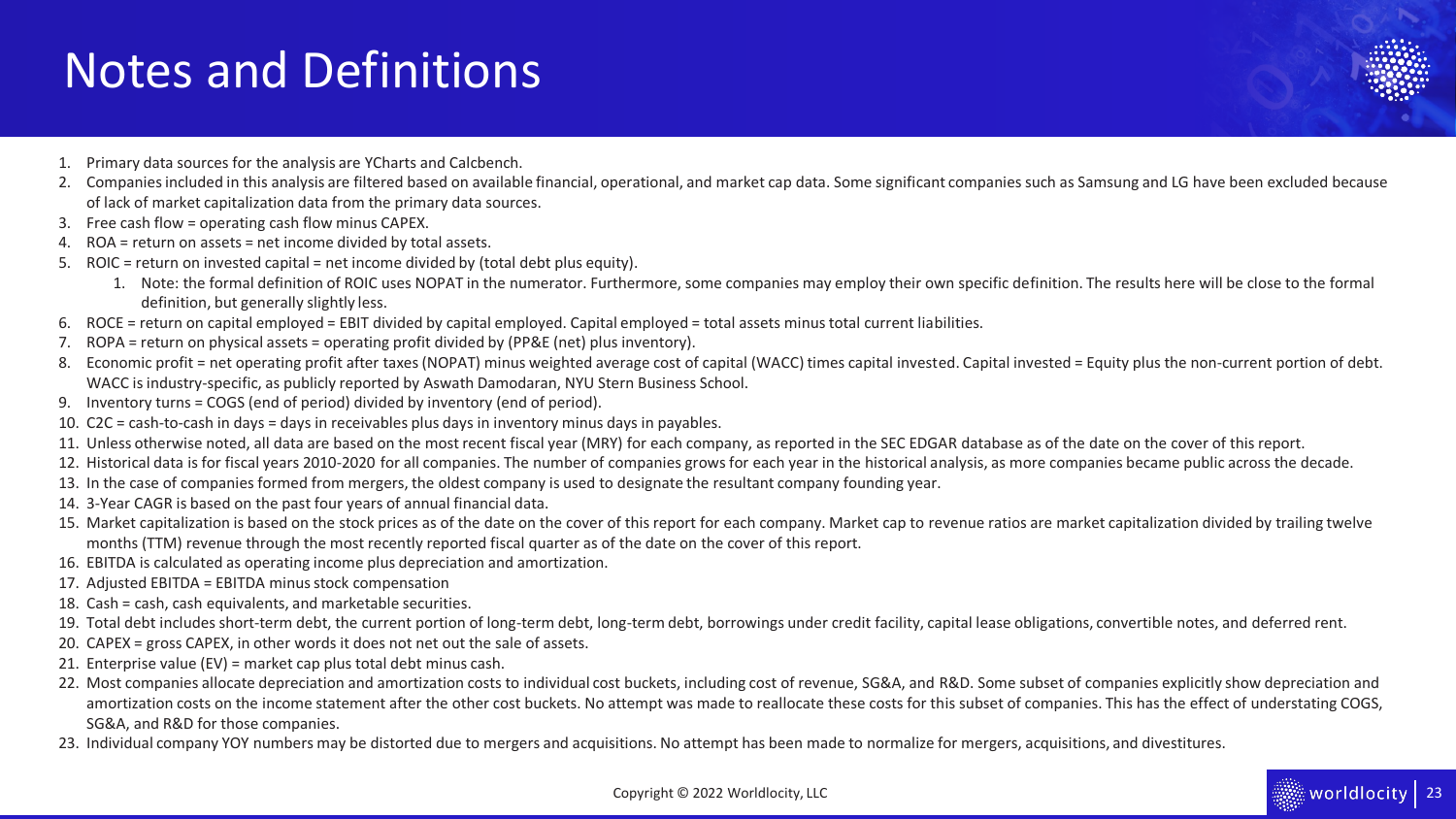## Notes and Definitions

- 1. Primary data sources for the analysis are YCharts and Calcbench.
- 2. Companies included in this analysis are filtered based on available financial, operational, and market cap data. Some significant companies such as Samsung and LG have been excluded because of lack of market capitalization data from the primary data sources.
- 3. Free cash flow = operating cash flow minus CAPEX.
- 4. ROA = return on assets = net income divided by total assets.
- 5. ROIC = return on invested capital = net income divided by (total debt plus equity).
	- 1. Note: the formal definition of ROIC uses NOPAT in the numerator. Furthermore, some companies may employ their own specific definition. The results here will be close to the formal definition, but generally slightly less.
- 6. ROCE = return on capital employed = EBIT divided by capital employed. Capital employed = total assets minus total current liabilities.
- 7. ROPA = return on physical assets = operating profit divided by (PP&E (net) plus inventory).
- 8. Economic profit = net operating profit after taxes (NOPAT) minus weighted average cost of capital (WACC) times capital invested. Capital invested = Equity plus the non-current portion of debt. WACC is industry-specific, as publicly reported by Aswath Damodaran, NYU Stern Business School.
- 9. Inventory turns = COGS (end of period) divided by inventory (end of period).
- 10. C2C = cash-to-cash in days = days in receivables plus days in inventory minus days in payables.
- 11. Unless otherwise noted, all data are based on the most recent fiscal year (MRY) for each company, as reported in the SEC EDGAR database as of the date on the cover of this report.
- 12. Historical data is for fiscal years 2010-2020 for all companies. The number of companies grows for each year in the historical analysis, as more companies became public across the decade.
- 13. In the case of companies formed from mergers, the oldest company is used to designate the resultant company founding year.
- 14. 3-Year CAGR is based on the past four years of annual financial data.
- 15. Market capitalization is based on the stock prices as of the date on the cover of this report for each company. Market cap to revenue ratios are market capitalization divided by trailing twelve months (TTM) revenue through the most recently reported fiscal quarter as of the date on the cover of this report.
- 16. EBITDA is calculated as operating income plus depreciation and amortization.
- 17. Adjusted EBITDA = EBITDA minus stock compensation
- 18. Cash = cash, cash equivalents, and marketable securities.
- 19. Total debt includes short-term debt, the current portion of long-term debt, long-term debt, borrowings under credit facility, capital lease obligations, convertible notes, and deferred rent.
- 20. CAPEX = gross CAPEX, in other words it does not net out the sale of assets.
- 21. Enterprise value (EV) = market cap plus total debt minus cash.
- 22. Most companies allocate depreciation and amortization costs to individual cost buckets, including cost of revenue, SG&A, and R&D. Some subset of companies explicitly show depreciation and amortization costs on the income statement after the other cost buckets. No attempt was made to reallocate these costs for this subset of companies. This has the effect of understating COGS, SG&A, and R&D for those companies.
- 23. Individual company YOY numbers may be distorted due to mergers and acquisitions. No attempt has been made to normalize for mergers, acquisitions, and divestitures.

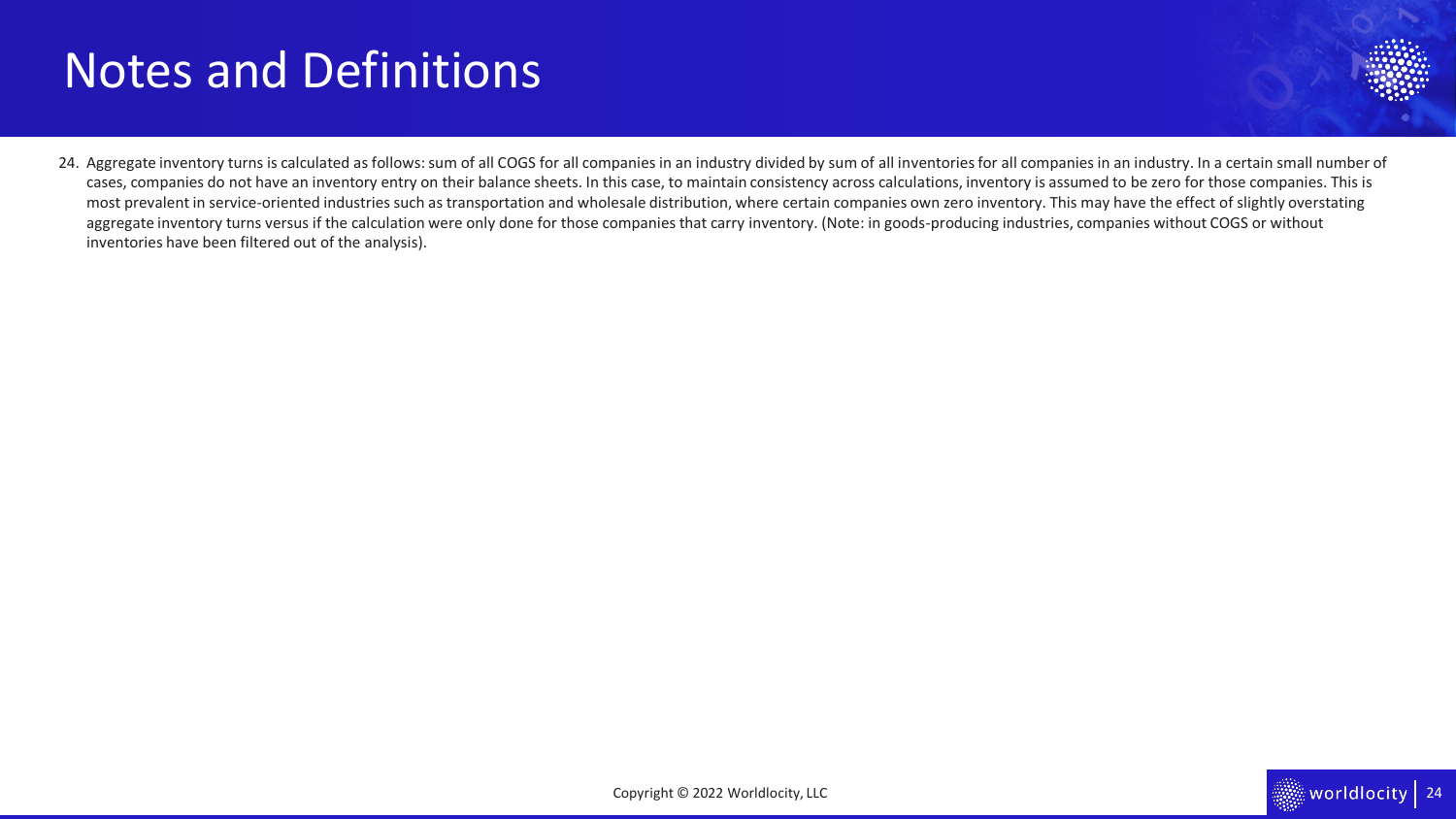## Notes and Definitions



24. Aggregate inventory turns is calculated as follows: sum of all COGS for all companies in an industry divided by sum of all inventories for all companies in an industry. In a certain small number of cases, companies do not have an inventory entry on their balance sheets. In this case, to maintain consistency across calculations, inventory is assumed to be zero for those companies. This is most prevalent in service-oriented industries such as transportation and wholesale distribution, where certain companies own zero inventory. This may have the effect of slightly overstating aggregate inventory turns versus if the calculation were only done for those companies that carry inventory. (Note: in goods-producing industries, companies without COGS or without inventories have been filtered out of the analysis).